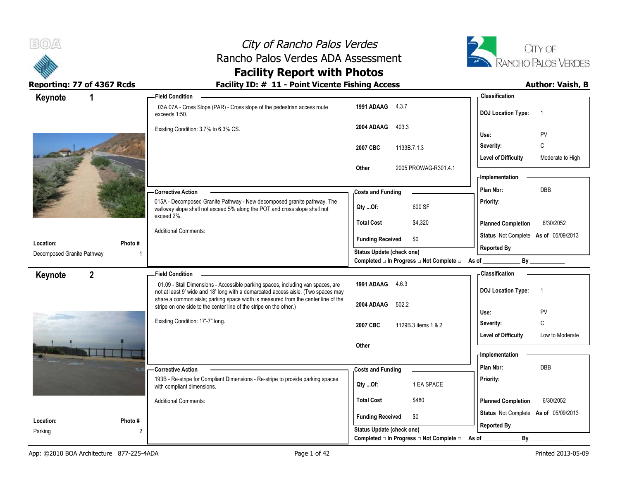



### **Facility Report with Photos**

| Keynote                                 |         | <b>Field Condition</b>                                                                                                                                                                                                                                    |                                                                       | <b>Classification</b>                          |
|-----------------------------------------|---------|-----------------------------------------------------------------------------------------------------------------------------------------------------------------------------------------------------------------------------------------------------------|-----------------------------------------------------------------------|------------------------------------------------|
|                                         |         | 03A.07A - Cross Slope (PAR) - Cross slope of the pedestrian access route<br>exceeds 1:50.                                                                                                                                                                 | 1991 ADAAG<br>4.3.7                                                   | <b>DOJ</b> Location Type:                      |
|                                         |         | Existing Condition: 3.7% to 6.3% CS.                                                                                                                                                                                                                      | 2004 ADAAG<br>403.3                                                   | PV<br>Use:                                     |
|                                         |         |                                                                                                                                                                                                                                                           |                                                                       | C<br>Severity:                                 |
|                                         |         |                                                                                                                                                                                                                                                           | 1133B.7.1.3<br>2007 CBC                                               | <b>Level of Difficulty</b><br>Moderate to High |
|                                         |         |                                                                                                                                                                                                                                                           | 2005 PROWAG-R301.4.1<br>Other                                         |                                                |
|                                         |         |                                                                                                                                                                                                                                                           |                                                                       | - Implementation                               |
|                                         |         | - Corrective Action                                                                                                                                                                                                                                       | <b>Costs and Funding</b>                                              | <b>DBB</b><br>Plan Nbr:                        |
|                                         |         | 015A - Decomposed Granite Pathway - New decomposed granite pathway. The<br>walkway slope shall not exceed 5% along the POT and cross slope shall not<br>exceed 2%.                                                                                        | 600 SF<br>QtyOf:                                                      | Priority:                                      |
|                                         |         |                                                                                                                                                                                                                                                           | <b>Total Cost</b><br>\$4,320                                          | 6/30/2052<br><b>Planned Completion</b>         |
|                                         |         | <b>Additional Comments:</b>                                                                                                                                                                                                                               | <b>Funding Received</b><br>\$0                                        | Status Not Complete As of 05/09/2013           |
| Location:<br>Decomposed Granite Pathway | Photo # |                                                                                                                                                                                                                                                           | Status Update (check one)                                             | <b>Reported By</b>                             |
|                                         |         |                                                                                                                                                                                                                                                           | Completed □ In Progress □ Not Complete □ As of                        | By                                             |
| $\overline{2}$<br>Keynote               |         | <b>Field Condition</b>                                                                                                                                                                                                                                    |                                                                       | <b>Classification</b>                          |
|                                         |         | 01.09 - Stall Dimensions - Accessible parking spaces, including van spaces, are<br>not at least 9' wide and 18' long with a demarcated access aisle. (Two spaces may<br>share a common aisle; parking space width is measured from the center line of the | 1991 ADAAG 4.6.3                                                      | <b>DOJ</b> Location Type:<br>-1                |
|                                         |         | stripe on one side to the center line of the stripe on the other.)                                                                                                                                                                                        | 2004 ADAAG<br>502.2                                                   | PV<br>Use:                                     |
|                                         |         | Existing Condition: 17'-7" long.                                                                                                                                                                                                                          | 2007 CBC<br>1129B.3 items 1 & 2                                       | C<br>Severity:                                 |
|                                         |         |                                                                                                                                                                                                                                                           |                                                                       |                                                |
|                                         |         |                                                                                                                                                                                                                                                           |                                                                       | <b>Level of Difficulty</b><br>Low to Moderate  |
|                                         |         |                                                                                                                                                                                                                                                           | Other                                                                 |                                                |
|                                         |         |                                                                                                                                                                                                                                                           |                                                                       | Implementation                                 |
|                                         |         | - Corrective Action                                                                                                                                                                                                                                       | <b>Costs and Funding</b>                                              | Plan Nbr:<br><b>DBB</b>                        |
|                                         |         | 193B - Re-stripe for Compliant Dimensions - Re-stripe to provide parking spaces<br>with compliant dimensions.                                                                                                                                             | 1 EA SPACE<br>Qty Of:                                                 | Priority:                                      |
|                                         |         | <b>Additional Comments:</b>                                                                                                                                                                                                                               | <b>Total Cost</b><br>\$480                                            | <b>Planned Completion</b><br>6/30/2052         |
| Location:                               | Photo # |                                                                                                                                                                                                                                                           | <b>Funding Received</b><br>\$0                                        | Status Not Complete As of 05/09/2013           |
| Parking                                 | 2       |                                                                                                                                                                                                                                                           | Status Update (check one)<br>Completed □ In Progress □ Not Complete □ | <b>Reported By</b><br>By<br>As of              |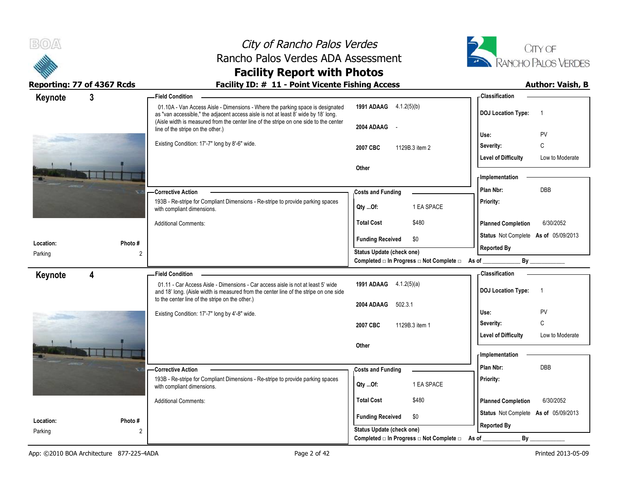



## **Facility Report with Photos**

**Reporting: 77 of 4367 Rcds Facility ID: # 11 - Point Vicente Fishing Access** 

| Keynote              | $\mathbf{3}$             | <b>Field Condition</b>                                                                                                                                                    |                                                                       | - Classification                                      |
|----------------------|--------------------------|---------------------------------------------------------------------------------------------------------------------------------------------------------------------------|-----------------------------------------------------------------------|-------------------------------------------------------|
|                      |                          | 01.10A - Van Access Aisle - Dimensions - Where the parking space is designated<br>as "van accessible," the adjacent access aisle is not at least 8' wide by 18' long.     | <b>1991 ADAAG</b> 4.1.2(5)(b)                                         | <b>DOJ Location Type:</b><br>$\overline{\phantom{0}}$ |
|                      |                          | (Aisle width is measured from the center line of the stripe on one side to the center<br>line of the stripe on the other.)                                                | 2004 ADAAG -                                                          | PV<br>Use:                                            |
|                      |                          | Existing Condition: 17'-7" long by 8'-6" wide.                                                                                                                            | 2007 CBC<br>1129B.3 item 2                                            | C<br>Severity:                                        |
|                      |                          |                                                                                                                                                                           |                                                                       | <b>Level of Difficulty</b><br>Low to Moderate         |
|                      |                          |                                                                                                                                                                           | Other                                                                 |                                                       |
|                      |                          |                                                                                                                                                                           |                                                                       | - Implementation                                      |
|                      |                          | -Corrective Action                                                                                                                                                        | <b>Costs and Funding</b>                                              | DBB<br>Plan Nbr:                                      |
|                      |                          | 193B - Re-stripe for Compliant Dimensions - Re-stripe to provide parking spaces<br>with compliant dimensions.                                                             | 1 EA SPACE<br>Qty Of:                                                 | Priority:                                             |
|                      |                          | <b>Additional Comments:</b>                                                                                                                                               | \$480<br><b>Total Cost</b>                                            | <b>Planned Completion</b><br>6/30/2052                |
|                      |                          |                                                                                                                                                                           | <b>Funding Received</b><br>\$0                                        | Status Not Complete As of 05/09/2013                  |
| Location:<br>Parking | Photo#<br>$\overline{2}$ |                                                                                                                                                                           | <b>Status Update (check one)</b>                                      | <b>Reported By</b>                                    |
|                      |                          |                                                                                                                                                                           | Completed □ In Progress □ Not Complete □ As of                        | By                                                    |
| Keynote              | 4                        | <b>Field Condition</b>                                                                                                                                                    |                                                                       | - Classification                                      |
|                      |                          | 01.11 - Car Access Aisle - Dimensions - Car access aisle is not at least 5' wide<br>and 18' long. (Aisle width is measured from the center line of the stripe on one side | 1991 ADAAG 4.1.2(5)(a)                                                | <b>DOJ Location Type:</b><br>$\overline{1}$           |
|                      |                          |                                                                                                                                                                           |                                                                       |                                                       |
|                      |                          | to the center line of the stripe on the other.)                                                                                                                           | 502.3.1<br>2004 ADAAG                                                 |                                                       |
|                      |                          | Existing Condition: 17'-7" long by 4'-8" wide.                                                                                                                            |                                                                       | PV<br>Use:                                            |
|                      |                          |                                                                                                                                                                           | 2007 CBC<br>1129B.3 item 1                                            | $\mathsf C$<br>Severity:                              |
|                      |                          |                                                                                                                                                                           | Other                                                                 | <b>Level of Difficulty</b><br>Low to Moderate         |
|                      |                          |                                                                                                                                                                           |                                                                       | - Implementation                                      |
|                      |                          | -Corrective Action                                                                                                                                                        | <b>Costs and Funding</b>                                              | Plan Nbr:<br><b>DBB</b>                               |
|                      |                          | 193B - Re-stripe for Compliant Dimensions - Re-stripe to provide parking spaces<br>with compliant dimensions.                                                             | 1 EA SPACE<br>Qty Of:                                                 | Priority:                                             |
|                      |                          | <b>Additional Comments:</b>                                                                                                                                               | <b>Total Cost</b><br>\$480                                            | 6/30/2052<br><b>Planned Completion</b>                |
| Location:            | Photo #                  |                                                                                                                                                                           | <b>Funding Received</b><br>\$0                                        | Status Not Complete As of 05/09/2013                  |
| Parking              | $\overline{2}$           |                                                                                                                                                                           | Status Update (check one)<br>Completed □ In Progress □ Not Complete □ | <b>Reported By</b><br>By<br>As of                     |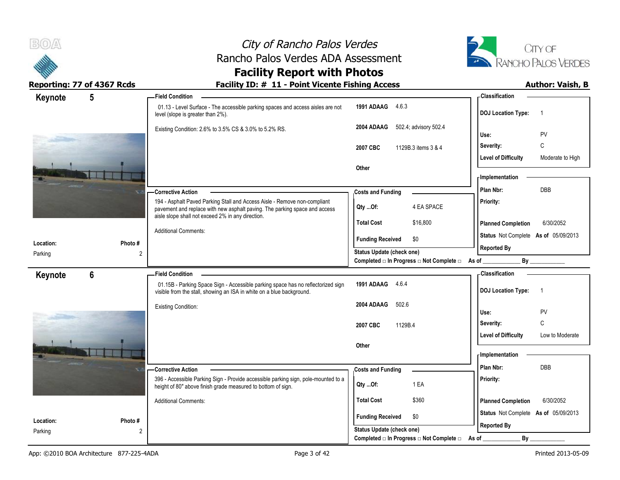



## **Facility Report with Photos**

| Keynote   | 5              | <b>Field Condition</b>                                                                                                                                                                                       |                                                                               | <b>Classification</b>                                    |
|-----------|----------------|--------------------------------------------------------------------------------------------------------------------------------------------------------------------------------------------------------------|-------------------------------------------------------------------------------|----------------------------------------------------------|
|           |                | 01.13 - Level Surface - The accessible parking spaces and access aisles are not<br>level (slope is greater than 2%).                                                                                         | 1991 ADAAG 4.6.3                                                              | <b>DOJ</b> Location Type:<br>$\overline{1}$              |
|           |                | Existing Condition: 2.6% to 3.5% CS & 3.0% to 5.2% RS.                                                                                                                                                       | 502.4; advisory 502.4<br>2004 ADAAG                                           | <b>PV</b><br>Use:                                        |
|           |                |                                                                                                                                                                                                              | 1129B.3 items 3 & 4<br>2007 CBC                                               | C<br>Severity:                                           |
|           |                |                                                                                                                                                                                                              |                                                                               | <b>Level of Difficulty</b><br>Moderate to High           |
|           |                |                                                                                                                                                                                                              | Other                                                                         |                                                          |
|           |                |                                                                                                                                                                                                              |                                                                               | - Implementation                                         |
|           |                | - Corrective Action                                                                                                                                                                                          | <b>Costs and Funding</b>                                                      | <b>DBB</b><br>Plan Nbr:                                  |
|           |                | 194 - Asphalt Paved Parking Stall and Access Aisle - Remove non-compliant<br>pavement and replace with new asphalt paving. The parking space and access<br>aisle slope shall not exceed 2% in any direction. | 4 EA SPACE<br>Qty Of:                                                         | Priority:                                                |
|           |                |                                                                                                                                                                                                              | <b>Total Cost</b><br>\$16,800                                                 | 6/30/2052<br><b>Planned Completion</b>                   |
|           |                | <b>Additional Comments:</b>                                                                                                                                                                                  | \$0<br><b>Funding Received</b>                                                | Status Not Complete As of 05/09/2013                     |
| Location: | Photo#         |                                                                                                                                                                                                              |                                                                               | <b>Reported By</b>                                       |
| Parking   | 2              |                                                                                                                                                                                                              | Status Update (check one)<br>Completed □ In Progress □ Not Complete □ As of _ | $\mathsf{By}$                                            |
|           |                |                                                                                                                                                                                                              |                                                                               |                                                          |
|           |                |                                                                                                                                                                                                              |                                                                               |                                                          |
| Keynote   | $6\phantom{1}$ | <b>Field Condition</b><br>01.15B - Parking Space Sign - Accessible parking space has no reflectorized sign<br>visible from the stall, showing an ISA in white on a blue background.                          | 1991 ADAAG<br>4.6.4                                                           | <b>Classification</b><br><b>DOJ</b> Location Type:<br>-1 |
|           |                |                                                                                                                                                                                                              | 2004 ADAAG<br>502.6                                                           |                                                          |
|           |                | <b>Existing Condition:</b>                                                                                                                                                                                   |                                                                               | Use:<br><b>PV</b>                                        |
|           |                |                                                                                                                                                                                                              | 1129B.4<br>2007 CBC                                                           | C<br>Severity:                                           |
|           |                |                                                                                                                                                                                                              |                                                                               | <b>Level of Difficulty</b><br>Low to Moderate            |
|           |                |                                                                                                                                                                                                              | Other                                                                         |                                                          |
|           |                |                                                                                                                                                                                                              |                                                                               | - Implementation                                         |
|           |                | -Corrective Action                                                                                                                                                                                           | <b>Costs and Funding</b>                                                      | Plan Nbr:<br>DBB                                         |
|           |                | 396 - Accessible Parking Sign - Provide accessible parking sign, pole-mounted to a<br>height of 80" above finish grade measured to bottom of sign.                                                           | 1 EA<br>Qty Of:                                                               | Priority:                                                |
|           |                | <b>Additional Comments:</b>                                                                                                                                                                                  | <b>Total Cost</b><br>\$360                                                    | <b>Planned Completion</b><br>6/30/2052                   |
| Location: | Photo#         |                                                                                                                                                                                                              | <b>Funding Received</b><br>\$0                                                | Status Not Complete As of 05/09/2013                     |
| Parking   | 2              |                                                                                                                                                                                                              | <b>Status Update (check one)</b><br>Completed □ In Progress □ Not Complete □  | <b>Reported By</b><br>By                                 |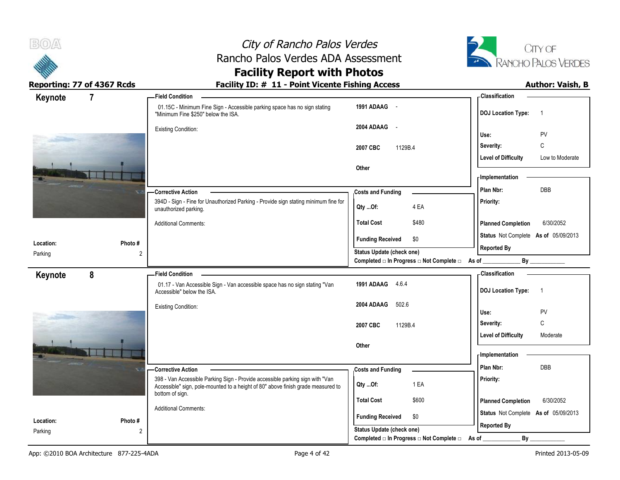



# **Facility Report with Photos**

| - Classification                                           |
|------------------------------------------------------------|
| <b>DOJ Location Type:</b><br>$\overline{1}$                |
| PV<br>Use:                                                 |
| C                                                          |
| Severity:                                                  |
| <b>Level of Difficulty</b><br>Low to Moderate              |
| - Implementation                                           |
| DBB<br>Plan Nbr:                                           |
| Priority:                                                  |
| 6/30/2052<br><b>Planned Completion</b>                     |
| Status Not Complete As of 05/09/2013                       |
| <b>Reported By</b>                                         |
| Completed □ In Progress □ Not Complete □ As of _<br>By     |
| - Classification                                           |
| <b>DOJ Location Type:</b><br>$\overline{1}$                |
| PV<br>Use:                                                 |
|                                                            |
|                                                            |
| C<br>Severity:                                             |
| <b>Level of Difficulty</b><br>Moderate                     |
| - Implementation                                           |
| <b>DBB</b><br>Plan Nbr:                                    |
| Priority:                                                  |
| <b>Planned Completion</b><br>6/30/2052                     |
|                                                            |
| Status Not Complete As of 05/09/2013<br><b>Reported By</b> |
|                                                            |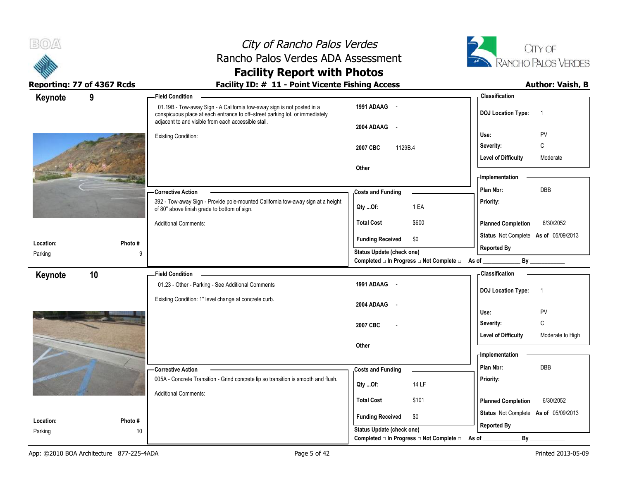



### **Facility Report with Photos** Reporting: 77 of 4367 Rcds **Facility ID: # 11 - Point Vicente Fishing Access** Author: Vaish, B

| Keynote              | 9            | <b>Field Condition</b>                                                                                                                                                                                        |                                                                             |       | <b>Classification</b>                                      |                  |
|----------------------|--------------|---------------------------------------------------------------------------------------------------------------------------------------------------------------------------------------------------------------|-----------------------------------------------------------------------------|-------|------------------------------------------------------------|------------------|
|                      |              | 01.19B - Tow-away Sign - A California tow-away sign is not posted in a<br>conspicuous place at each entrance to off-street parking lot, or immediately<br>adjacent to and visible from each accessible stall. | 1991 ADAAG -                                                                |       | <b>DOJ Location Type:</b>                                  | $\overline{1}$   |
|                      |              | <b>Existing Condition:</b>                                                                                                                                                                                    | 2004 ADAAG -                                                                |       | Use:                                                       | PV               |
|                      |              |                                                                                                                                                                                                               | 2007 CBC<br>1129B.4                                                         |       | Severity:                                                  | C                |
|                      |              |                                                                                                                                                                                                               |                                                                             |       | <b>Level of Difficulty</b>                                 | Moderate         |
|                      |              |                                                                                                                                                                                                               | Other                                                                       |       |                                                            |                  |
|                      |              |                                                                                                                                                                                                               |                                                                             |       | <b>Implementation</b>                                      |                  |
|                      |              | <b>Corrective Action</b>                                                                                                                                                                                      | Costs and Funding                                                           |       | Plan Nbr:                                                  | <b>DBB</b>       |
|                      |              | 392 - Tow-away Sign - Provide pole-mounted California tow-away sign at a height<br>of 80" above finish grade to bottom of sign.                                                                               | 1 EA<br>Qty Of:                                                             |       | Priority:                                                  |                  |
|                      |              | <b>Additional Comments:</b>                                                                                                                                                                                   | \$600<br><b>Total Cost</b>                                                  |       | <b>Planned Completion</b>                                  | 6/30/2052        |
| Location:            | Photo#       |                                                                                                                                                                                                               | <b>Funding Received</b><br>\$0                                              |       | Status Not Complete As of 05/09/2013<br><b>Reported By</b> |                  |
| Parking              | 9            |                                                                                                                                                                                                               | Status Update (check one)<br>Completed □ In Progress □ Not Complete □ As of |       |                                                            | By               |
|                      |              | <b>Field Condition</b>                                                                                                                                                                                        |                                                                             |       | <b>Classification</b>                                      |                  |
| Keynote              | 10           | 01.23 - Other - Parking - See Additional Comments                                                                                                                                                             | 1991 ADAAG -                                                                |       |                                                            |                  |
|                      |              |                                                                                                                                                                                                               |                                                                             |       | <b>DOJ</b> Location Type:                                  | $\overline{1}$   |
|                      |              | Existing Condition: 1" level change at concrete curb.                                                                                                                                                         | 2004 ADAAG<br>$\sim$                                                        |       |                                                            |                  |
|                      |              |                                                                                                                                                                                                               |                                                                             |       | Use:                                                       | PV               |
|                      |              |                                                                                                                                                                                                               | 2007 CBC                                                                    |       | Severity:                                                  | C                |
|                      |              |                                                                                                                                                                                                               | Other                                                                       |       | <b>Level of Difficulty</b>                                 | Moderate to High |
|                      |              |                                                                                                                                                                                                               |                                                                             |       | - Implementation                                           |                  |
|                      |              | - Corrective Action                                                                                                                                                                                           | <b>Costs and Funding</b>                                                    |       | Plan Nbr:                                                  | DBB              |
|                      |              | 005A - Concrete Transition - Grind concrete lip so transition is smooth and flush.                                                                                                                            |                                                                             |       | Priority:                                                  |                  |
|                      |              | <b>Additional Comments:</b>                                                                                                                                                                                   | 14 LF<br>Qty  Of:                                                           |       |                                                            |                  |
|                      |              |                                                                                                                                                                                                               | \$101<br><b>Total Cost</b>                                                  |       | <b>Planned Completion</b>                                  | 6/30/2052        |
|                      |              |                                                                                                                                                                                                               | <b>Funding Received</b><br>\$0                                              |       | Status Not Complete As of 05/09/2013                       |                  |
| Location:<br>Parking | Photo#<br>10 |                                                                                                                                                                                                               | <b>Status Update (check one)</b>                                            |       | <b>Reported By</b>                                         |                  |
|                      |              |                                                                                                                                                                                                               | Completed □ In Progress □ Not Complete □                                    | As of | By                                                         |                  |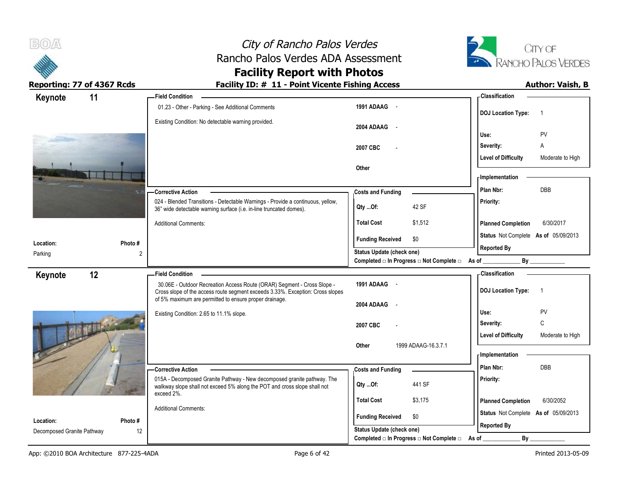



# **Facility Report with Photos**

| Keynote                                 | 11             | <b>Field Condition</b>                                                                                                                                                              |                                                      |                                                | - Classification                                   |                  |
|-----------------------------------------|----------------|-------------------------------------------------------------------------------------------------------------------------------------------------------------------------------------|------------------------------------------------------|------------------------------------------------|----------------------------------------------------|------------------|
|                                         |                | 01.23 - Other - Parking - See Additional Comments                                                                                                                                   | 1991 ADAAG -                                         |                                                | <b>DOJ</b> Location Type:                          |                  |
|                                         |                | Existing Condition: No detectable warning provided.                                                                                                                                 | 2004 ADAAG -                                         |                                                | Use:                                               | PV               |
|                                         |                |                                                                                                                                                                                     | 2007 CBC                                             |                                                | Severity:                                          | A                |
|                                         |                |                                                                                                                                                                                     |                                                      |                                                | <b>Level of Difficulty</b>                         | Moderate to High |
|                                         |                |                                                                                                                                                                                     | Other                                                |                                                | <b>Implementation</b>                              |                  |
|                                         |                | -Corrective Action                                                                                                                                                                  | <b>Costs and Funding</b>                             |                                                | Plan Nbr:                                          | <b>DBB</b>       |
|                                         |                | 024 - Blended Transitions - Detectable Warnings - Provide a continuous, yellow,<br>36" wide detectable warning surface (i.e. in-line truncated domes).                              | Qty Of:                                              | 42 SF                                          | Priority:                                          |                  |
|                                         |                | <b>Additional Comments:</b>                                                                                                                                                         | <b>Total Cost</b>                                    | \$1,512                                        | <b>Planned Completion</b>                          | 6/30/2017        |
| Location:                               | Photo #        |                                                                                                                                                                                     | <b>Funding Received</b>                              | \$0                                            | Status Not Complete As of 05/09/2013               |                  |
| Parking                                 | $\overline{2}$ |                                                                                                                                                                                     | Status Update (check one)                            |                                                | <b>Reported By</b>                                 |                  |
|                                         |                |                                                                                                                                                                                     |                                                      | Completed □ In Progress □ Not Complete □ As of | By                                                 |                  |
| Keynote                                 | 12             | <b>Field Condition</b><br>30.06E - Outdoor Recreation Access Route (ORAR) Segment - Cross Slope -<br>Cross slope of the access route segment exceeds 3.33%. Exception: Cross slopes | 1991 ADAAG -                                         |                                                | <b>Classification</b><br><b>DOJ</b> Location Type: | -1               |
|                                         |                | of 5% maximum are permitted to ensure proper drainage.                                                                                                                              | 2004 ADAAG<br>$\sim$                                 |                                                |                                                    |                  |
|                                         |                | Existing Condition: 2.65 to 11.1% slope.                                                                                                                                            |                                                      |                                                | Use:                                               | PV               |
|                                         |                |                                                                                                                                                                                     | 2007 CBC                                             |                                                | Severity:                                          | C                |
|                                         |                |                                                                                                                                                                                     |                                                      |                                                |                                                    |                  |
|                                         |                |                                                                                                                                                                                     |                                                      |                                                | <b>Level of Difficulty</b>                         | Moderate to High |
|                                         |                |                                                                                                                                                                                     | Other                                                | 1999 ADAAG-16.3.7.1                            | - Implementation                                   |                  |
|                                         |                |                                                                                                                                                                                     |                                                      |                                                | Plan Nbr:                                          | <b>DBB</b>       |
|                                         |                | - Corrective Action<br>015A - Decomposed Granite Pathway - New decomposed granite pathway. The                                                                                      | <b>Costs and Funding</b><br>$Qty$ Of:                | 441 SF                                         | Priority:                                          |                  |
|                                         |                | walkway slope shall not exceed 5% along the POT and cross slope shall not<br>exceed 2%.                                                                                             | <b>Total Cost</b>                                    | \$3,175                                        | <b>Planned Completion</b>                          | 6/30/2052        |
|                                         |                | <b>Additional Comments:</b>                                                                                                                                                         |                                                      |                                                | Status Not Complete As of 05/09/2013               |                  |
| Location:<br>Decomposed Granite Pathway | Photo #<br>12  |                                                                                                                                                                                     | <b>Funding Received</b><br>Status Update (check one) | \$0                                            | <b>Reported By</b>                                 |                  |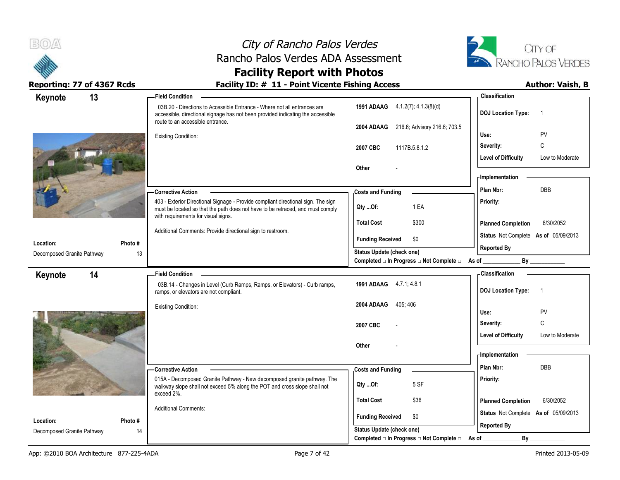



# **Facility Report with Photos**

| Keynote                                 | 13            | <b>Field Condition</b>                                                                                                                                                                          |                                                             | <b>Classification</b>                         |
|-----------------------------------------|---------------|-------------------------------------------------------------------------------------------------------------------------------------------------------------------------------------------------|-------------------------------------------------------------|-----------------------------------------------|
|                                         |               | 03B.20 - Directions to Accessible Entrance - Where not all entrances are<br>accessible, directional signage has not been provided indicating the accessible<br>route to an accessible entrance. | 1991 ADAAG 4.1.2(7); 4.1.3(8)(d)                            | <b>DOJ</b> Location Type:<br>$\overline{1}$   |
|                                         |               |                                                                                                                                                                                                 | 216.6; Advisory 216.6; 703.5<br>2004 ADAAG                  |                                               |
|                                         |               | <b>Existing Condition:</b>                                                                                                                                                                      |                                                             | PV<br>Use:                                    |
|                                         |               |                                                                                                                                                                                                 | 1117B.5.8.1.2<br>2007 CBC                                   | C<br>Severity:                                |
|                                         |               |                                                                                                                                                                                                 |                                                             | <b>Level of Difficulty</b><br>Low to Moderate |
|                                         |               |                                                                                                                                                                                                 | Other                                                       | - Implementation                              |
|                                         |               |                                                                                                                                                                                                 |                                                             | DBB<br>Plan Nbr:                              |
|                                         |               | <b>Corrective Action</b><br>403 - Exterior Directional Signage - Provide compliant directional sign. The sign                                                                                   | <b>Costs and Funding</b>                                    | Priority:                                     |
|                                         |               | must be located so that the path does not have to be retraced, and must comply                                                                                                                  | 1 EA<br>Qty Of:                                             |                                               |
|                                         |               | with requirements for visual signs.                                                                                                                                                             | \$300<br><b>Total Cost</b>                                  | <b>Planned Completion</b><br>6/30/2052        |
|                                         |               | Additional Comments: Provide directional sign to restroom.                                                                                                                                      | \$0<br><b>Funding Received</b>                              | Status Not Complete As of 05/09/2013          |
| Location:<br>Decomposed Granite Pathway | Photo#<br>13  |                                                                                                                                                                                                 | Status Update (check one)                                   | <b>Reported By</b>                            |
|                                         |               |                                                                                                                                                                                                 | Completed □ In Progress □ Not Complete □ As of _            | By                                            |
| 14<br>Keynote                           |               | <b>Field Condition</b><br>$\sim$                                                                                                                                                                |                                                             | <b>Classification</b>                         |
|                                         |               | 03B.14 - Changes in Level (Curb Ramps, Ramps, or Elevators) - Curb ramps,<br>ramps, or elevators are not compliant.                                                                             | 1991 ADAAG 4.7.1, 4.8.1                                     | <b>DOJ</b> Location Type:<br>$\overline{1}$   |
|                                         |               | <b>Existing Condition:</b>                                                                                                                                                                      |                                                             |                                               |
|                                         |               |                                                                                                                                                                                                 | 2004 ADAAG<br>405:406                                       |                                               |
|                                         |               |                                                                                                                                                                                                 |                                                             | Use:<br>PV                                    |
|                                         |               |                                                                                                                                                                                                 | 2007 CBC                                                    | C<br>Severity:                                |
|                                         |               |                                                                                                                                                                                                 |                                                             | <b>Level of Difficulty</b><br>Low to Moderate |
|                                         |               |                                                                                                                                                                                                 | Other                                                       | - Implementation                              |
|                                         |               |                                                                                                                                                                                                 |                                                             | Plan Nbr:<br><b>DBB</b>                       |
|                                         |               | <b>Corrective Action</b>                                                                                                                                                                        | <b>Costs and Funding</b>                                    |                                               |
|                                         |               | 015A - Decomposed Granite Pathway - New decomposed granite pathway. The<br>walkway slope shall not exceed 5% along the POT and cross slope shall not                                            | 5 SF<br>Qty  Of:                                            | Priority:                                     |
|                                         |               | exceed 2%.                                                                                                                                                                                      | <b>Total Cost</b><br>\$36                                   | <b>Planned Completion</b><br>6/30/2052        |
|                                         |               | <b>Additional Comments:</b>                                                                                                                                                                     |                                                             | Status Not Complete As of 05/09/2013          |
| Location:<br>Decomposed Granite Pathway | Photo #<br>14 |                                                                                                                                                                                                 | <b>Funding Received</b><br>\$0<br>Status Update (check one) | <b>Reported By</b>                            |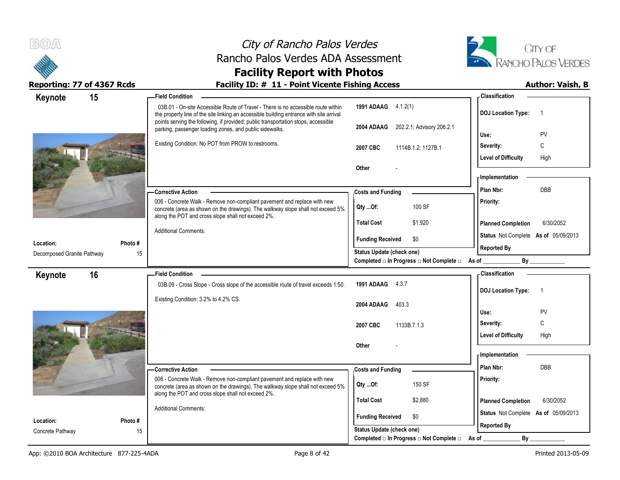



# **Facility Report with Photos**

| Keynote                    | 15      | <b>Field Condition</b>                                                                                                                                                                                            |                                                                                            | - Classification                            |
|----------------------------|---------|-------------------------------------------------------------------------------------------------------------------------------------------------------------------------------------------------------------------|--------------------------------------------------------------------------------------------|---------------------------------------------|
|                            |         | 03B.01 - On-site Accessible Route of Travel - There is no accessible route within<br>the property line of the site linking an accessible building entrance with site arrival                                      | 1991 ADAAG 4.1.2(1)                                                                        | <b>DOJ</b> Location Type:<br>$\overline{1}$ |
|                            |         | points serving the following, if provided: public transportation stops, accessible<br>parking, passenger loading zones, and public sidewalks.                                                                     | 202.2.1; Advisory 206.2.1<br>2004 ADAAG                                                    | PV<br>Use:                                  |
|                            |         | Existing Condition: No POT from PROW to restrooms.                                                                                                                                                                | 2007 CBC<br>1114B.1.2; 1127B.1                                                             | C<br>Severity:                              |
|                            |         |                                                                                                                                                                                                                   |                                                                                            | <b>Level of Difficulty</b><br>High          |
|                            |         |                                                                                                                                                                                                                   | <b>Other</b>                                                                               |                                             |
|                            |         |                                                                                                                                                                                                                   |                                                                                            | - Implementation                            |
|                            |         | <b>Corrective Action</b>                                                                                                                                                                                          | <b>Costs and Funding</b>                                                                   | DBB<br>Plan Nbr:                            |
|                            |         | 006 - Concrete Walk - Remove non-compliant pavement and replace with new<br>concrete (area as shown on the drawings). The walkway slope shall not exceed 5%<br>along the POT and cross slope shall not exceed 2%. | 100 SF<br>Qty Of:                                                                          | <b>Priority:</b>                            |
|                            |         |                                                                                                                                                                                                                   | \$1,920<br><b>Total Cost</b>                                                               | <b>Planned Completion</b><br>6/30/2052      |
|                            |         | <b>Additional Comments:</b>                                                                                                                                                                                       | <b>Funding Received</b><br>\$0                                                             | Status Not Complete As of 05/09/2013        |
| Location:                  | Photo # |                                                                                                                                                                                                                   |                                                                                            | <b>Reported By</b>                          |
| Decomposed Granite Pathway |         | 15                                                                                                                                                                                                                | <b>Status Update (check one)</b><br>Completed □ In Progress □ Not Complete □ As of _______ | By                                          |
| Keynote                    | 16      | <b>Field Condition</b>                                                                                                                                                                                            |                                                                                            | <b>Classification</b>                       |
|                            |         | 03B.09 - Cross Slope - Cross slope of the accessible route of travel exceeds 1:50.                                                                                                                                | 1991 ADAAG 4.3.7                                                                           |                                             |
|                            |         | Existing Condition: 3.2% to 4.2% CS.                                                                                                                                                                              |                                                                                            | <b>DOJ Location Type:</b><br>$\overline{1}$ |
|                            |         |                                                                                                                                                                                                                   | 2004 ADAAG<br>403.3                                                                        |                                             |
|                            |         |                                                                                                                                                                                                                   |                                                                                            | PV<br>Use:                                  |
|                            |         |                                                                                                                                                                                                                   | 2007 CBC<br>1133B.7.1.3                                                                    | C<br>Severity:                              |
|                            |         |                                                                                                                                                                                                                   |                                                                                            | <b>Level of Difficulty</b><br>High          |
|                            |         |                                                                                                                                                                                                                   | Other                                                                                      | <b>Implementation</b>                       |
|                            |         |                                                                                                                                                                                                                   |                                                                                            | Plan Nbr:<br>DBB                            |
|                            |         | <b>Corrective Action</b><br>006 - Concrete Walk - Remove non-compliant pavement and replace with new                                                                                                              | <b>Costs and Funding</b>                                                                   | Priority:                                   |
|                            |         | concrete (area as shown on the drawings). The walkway slope shall not exceed 5%                                                                                                                                   | 150 SF<br>Qty Of:                                                                          |                                             |
|                            |         | along the POT and cross slope shall not exceed 2%.                                                                                                                                                                | <b>Total Cost</b><br>\$2,880                                                               | 6/30/2052<br><b>Planned Completion</b>      |
|                            |         | <b>Additional Comments:</b>                                                                                                                                                                                       |                                                                                            | Status Not Complete As of 05/09/2013        |
| Location:                  | Photo # |                                                                                                                                                                                                                   | <b>Funding Received</b><br>\$0                                                             | <b>Reported By</b>                          |
| Concrete Pathway           |         | 15                                                                                                                                                                                                                | <b>Status Update (check one)</b><br>Completed □ In Progress □ Not Complete □ As of         | By                                          |
|                            |         |                                                                                                                                                                                                                   |                                                                                            |                                             |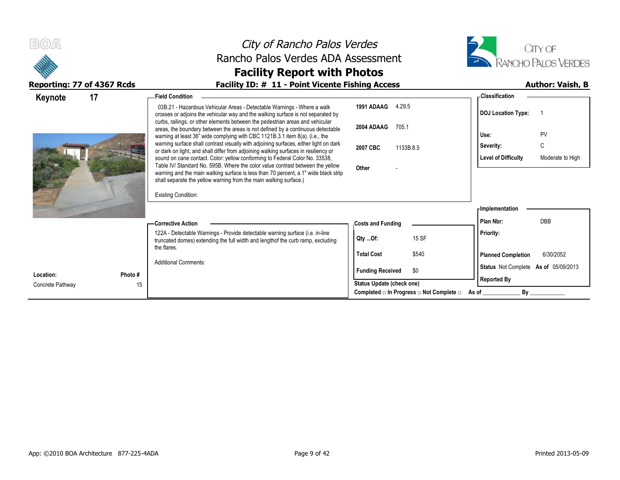

# City of Rancho Palos Verdes Rancho Palos Verdes ADA Assessment **Facility Report with Photos**



| 17<br>Keynote          | <b>Field Condition</b>                                                                                                                                                                                                                                                                                                    |                                                         | - Classification                               |
|------------------------|---------------------------------------------------------------------------------------------------------------------------------------------------------------------------------------------------------------------------------------------------------------------------------------------------------------------------|---------------------------------------------------------|------------------------------------------------|
|                        | 03B.21 - Hazardous Vehicular Areas - Detectable Warnings - Where a walk<br>crosses or adjoins the vehicular way and the walking surface is not separated by                                                                                                                                                               | 1991 ADAAG<br>4.29.5                                    | <b>DOJ</b> Location Type:                      |
|                        | curbs, railings, or other elements between the pedestrian areas and vehicular<br>areas, the boundary between the areas is not defined by a continuous detectable<br>warning at least 36" wide complying with CBC 1121B.3.1 item 8(a). (i.e., the                                                                          | 2004 ADAAG<br>705.1                                     | PV<br>Use:                                     |
|                        | warning surface shall contrast visually with adjoining surfaces, either light on dark<br>or dark on light, and shall differ from adjoining walking surfaces in resiliency or                                                                                                                                              | 1133B.8.5<br>2007 CBC                                   | C<br>Severity:                                 |
|                        | sound on cane contact. Color: yellow conforming to Federal Color No. 33538,<br>Table IV/ Standard No. 595B. Where the color value contrast between the yellow<br>warning and the main walking surface is less than 70 percent, a 1" wide black strip<br>shall separate the yellow warning from the main walking surface.) | Other                                                   | <b>Level of Difficulty</b><br>Moderate to High |
|                        | <b>Existing Condition:</b>                                                                                                                                                                                                                                                                                                |                                                         |                                                |
|                        |                                                                                                                                                                                                                                                                                                                           |                                                         | <b>Implementation</b>                          |
|                        | — Corrective Action                                                                                                                                                                                                                                                                                                       | <b>Costs and Funding</b>                                | <b>DBB</b><br>Plan Nbr:                        |
|                        | 122A - Detectable Warnings - Provide detectable warning surface (i.e. in-line<br>truncated domes) extending the full width and length of the curb ramp, excluding                                                                                                                                                         | 15 SF<br>Qty Of:                                        | <b>Priority:</b>                               |
|                        | the flares.                                                                                                                                                                                                                                                                                                               | \$540<br><b>Total Cost</b>                              | <b>Planned Completion</b><br>6/30/2052         |
|                        | <b>Additional Comments:</b>                                                                                                                                                                                                                                                                                               | <b>Funding Received</b><br>\$0                          | Status Not Complete As of 05/09/2013           |
| Location:<br>Photo #   |                                                                                                                                                                                                                                                                                                                           | Status Update (check one)                               | <b>Reported By</b>                             |
| 15<br>Concrete Pathway |                                                                                                                                                                                                                                                                                                                           | Completed $\Box$ In Progress $\Box$ Not Complete $\Box$ | $\mathsf{By}$<br>As of                         |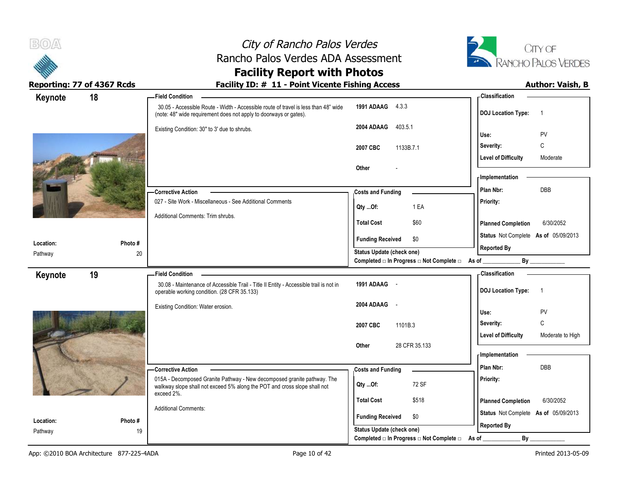



# **Facility Report with Photos**

| Keynote              | 18           | - Field Condition                                                                                                                                        |                                                             | -Classification                                |
|----------------------|--------------|----------------------------------------------------------------------------------------------------------------------------------------------------------|-------------------------------------------------------------|------------------------------------------------|
|                      |              | 30.05 - Accessible Route - Width - Accessible route of travel is less than 48" wide<br>(note: 48" wide requirement does not apply to doorways or gates). | <b>1991 ADAAG</b> 4.3.3                                     | <b>DOJ</b> Location Type:<br>-1                |
|                      |              | Existing Condition: 30" to 3' due to shrubs.                                                                                                             | 403.5.1<br>2004 ADAAG                                       | PV<br>Use:                                     |
|                      |              |                                                                                                                                                          | 2007 CBC<br>1133B.7.1                                       | C<br>Severity:                                 |
|                      |              |                                                                                                                                                          |                                                             | <b>Level of Difficulty</b><br>Moderate         |
|                      |              |                                                                                                                                                          | Other                                                       |                                                |
|                      |              |                                                                                                                                                          |                                                             | - Implementation                               |
|                      |              | - Corrective Action                                                                                                                                      | <b>Costs and Funding</b>                                    | <b>DBB</b><br>Plan Nbr:                        |
|                      |              | 027 - Site Work - Miscellaneous - See Additional Comments                                                                                                | 1 EA<br>Qty Of:                                             | Priority:                                      |
|                      |              | Additional Comments: Trim shrubs.                                                                                                                        | <b>Total Cost</b><br>\$60                                   | <b>Planned Completion</b><br>6/30/2052         |
|                      |              |                                                                                                                                                          | \$0<br><b>Funding Received</b>                              | Status Not Complete As of 05/09/2013           |
| Location:            | Photo#<br>20 |                                                                                                                                                          | Status Update (check one)                                   | <b>Reported By</b>                             |
| Pathway              |              |                                                                                                                                                          | Completed □ In Progress □ Not Complete □ As of              | By                                             |
| Keynote              | 19           | <b>Field Condition</b>                                                                                                                                   |                                                             | <b>Classification</b>                          |
|                      |              | 30.08 - Maintenance of Accessible Trail - Title II Entity - Accessible trail is not in<br>operable working condition. (28 CFR 35.133)                    | 1991 ADAAG -                                                | <b>DOJ</b> Location Type:<br>$\overline{1}$    |
|                      |              | Existing Condition: Water erosion.                                                                                                                       | 2004 ADAAG -                                                |                                                |
|                      |              |                                                                                                                                                          |                                                             | PV<br>Use:                                     |
|                      |              |                                                                                                                                                          |                                                             |                                                |
|                      |              |                                                                                                                                                          | 2007 CBC<br>1101B.3                                         | $\mathsf C$<br>Severity:                       |
|                      |              |                                                                                                                                                          |                                                             | <b>Level of Difficulty</b><br>Moderate to High |
|                      |              |                                                                                                                                                          | 28 CFR 35.133<br><b>Other</b>                               | - Implementation                               |
|                      |              |                                                                                                                                                          |                                                             | Plan Nbr:<br><b>DBB</b>                        |
|                      |              | -Corrective Action<br>015A - Decomposed Granite Pathway - New decomposed granite pathway. The                                                            | <b>Costs and Funding</b>                                    | Priority:                                      |
|                      |              | walkway slope shall not exceed 5% along the POT and cross slope shall not                                                                                | 72 SF<br>$Qty$ Of:                                          |                                                |
|                      |              | exceed 2%.                                                                                                                                               | <b>Total Cost</b><br>\$518                                  | <b>Planned Completion</b><br>6/30/2052         |
|                      |              | <b>Additional Comments:</b>                                                                                                                              |                                                             | Status Not Complete As of 05/09/2013           |
| Location:<br>Pathway | Photo#<br>19 |                                                                                                                                                          | <b>Funding Received</b><br>\$0<br>Status Update (check one) | <b>Reported By</b>                             |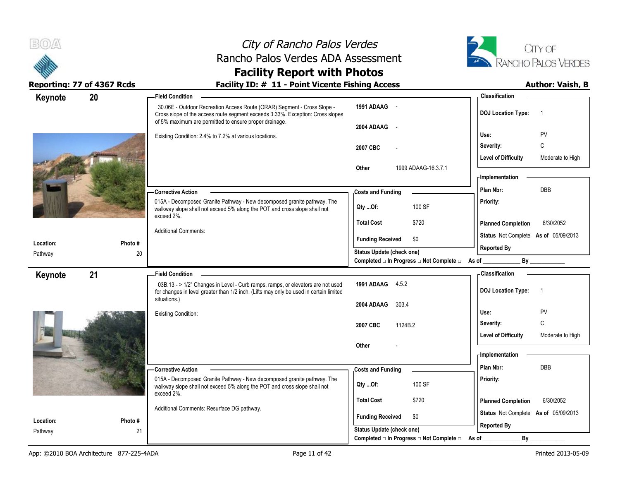



# **Facility Report with Photos**

| Keynote              | 20            | <b>Field Condition</b>                                                                                                                                                                                              |                                                         | -Classification                                |
|----------------------|---------------|---------------------------------------------------------------------------------------------------------------------------------------------------------------------------------------------------------------------|---------------------------------------------------------|------------------------------------------------|
|                      |               | 30.06E - Outdoor Recreation Access Route (ORAR) Segment - Cross Slope -<br>Cross slope of the access route segment exceeds 3.33%. Exception: Cross slopes<br>of 5% maximum are permitted to ensure proper drainage. | 1991 ADAAG -                                            | <b>DOJ</b> Location Type:<br>-1                |
|                      |               |                                                                                                                                                                                                                     | 2004 ADAAG                                              |                                                |
|                      |               | Existing Condition: 2.4% to 7.2% at various locations.                                                                                                                                                              |                                                         | PV<br>Use:                                     |
|                      |               |                                                                                                                                                                                                                     | 2007 CBC                                                | C<br>Severity:                                 |
|                      |               |                                                                                                                                                                                                                     |                                                         | <b>Level of Difficulty</b><br>Moderate to High |
|                      |               |                                                                                                                                                                                                                     | 1999 ADAAG-16.3.7.1<br>Other                            | <b>Implementation</b>                          |
|                      |               |                                                                                                                                                                                                                     |                                                         |                                                |
|                      |               | - Corrective Action                                                                                                                                                                                                 | <b>Costs and Funding</b>                                | DBB<br>Plan Nbr:                               |
|                      |               | 015A - Decomposed Granite Pathway - New decomposed granite pathway. The<br>walkway slope shall not exceed 5% along the POT and cross slope shall not                                                                | 100 SF<br>Qty Of:                                       | Priority:                                      |
|                      |               | exceed 2%.                                                                                                                                                                                                          | \$720<br><b>Total Cost</b>                              | <b>Planned Completion</b><br>6/30/2052         |
|                      |               | <b>Additional Comments:</b>                                                                                                                                                                                         |                                                         |                                                |
| Location:            | Photo #       |                                                                                                                                                                                                                     | \$0<br><b>Funding Received</b>                          | Status Not Complete As of 05/09/2013           |
| Pathway              | 20            |                                                                                                                                                                                                                     | Status Update (check one)                               | <b>Reported By</b>                             |
|                      |               |                                                                                                                                                                                                                     | Completed □ In Progress □ Not Complete □ As of ________ |                                                |
| Keynote              | 21            | <b>Field Condition</b>                                                                                                                                                                                              |                                                         | Classification                                 |
|                      |               | 03B.13 - > 1/2" Changes in Level - Curb ramps, ramps, or elevators are not used<br>for changes in level greater than 1/2 inch. (Lifts may only be used in certain limited                                           | 1991 ADAAG 4.5.2                                        | <b>DOJ</b> Location Type:<br>$\overline{1}$    |
|                      |               | situations.)                                                                                                                                                                                                        | 2004 ADAAG<br>303.4                                     |                                                |
|                      |               | <b>Existing Condition:</b>                                                                                                                                                                                          |                                                         | PV<br>Use:                                     |
|                      |               |                                                                                                                                                                                                                     | 2007 CBC<br>1124B.2                                     | $\mathsf{C}$<br>Severity:                      |
|                      |               |                                                                                                                                                                                                                     |                                                         | <b>Level of Difficulty</b><br>Moderate to High |
|                      |               |                                                                                                                                                                                                                     | Other                                                   |                                                |
|                      |               |                                                                                                                                                                                                                     |                                                         | <b>Implementation</b>                          |
|                      |               | <b>Corrective Action</b>                                                                                                                                                                                            | <b>Costs and Funding</b>                                | <b>DBB</b><br>Plan Nbr:                        |
|                      |               | 015A - Decomposed Granite Pathway - New decomposed granite pathway. The                                                                                                                                             | 100 SF<br>Qty Of:                                       | Priority:                                      |
|                      |               | walkway slope shall not exceed 5% along the POT and cross slope shall not<br>exceed 2%.                                                                                                                             |                                                         |                                                |
|                      |               | Additional Comments: Resurface DG pathway.                                                                                                                                                                          | <b>Total Cost</b><br>\$720                              | <b>Planned Completion</b><br>6/30/2052         |
|                      |               |                                                                                                                                                                                                                     | <b>Funding Received</b><br>\$0                          | Status Not Complete As of 05/09/2013           |
| Location:<br>Pathway | Photo #<br>21 |                                                                                                                                                                                                                     | Status Update (check one)                               | <b>Reported By</b>                             |
|                      |               |                                                                                                                                                                                                                     | Completed □ In Progress □ Not Complete □ As of          | By                                             |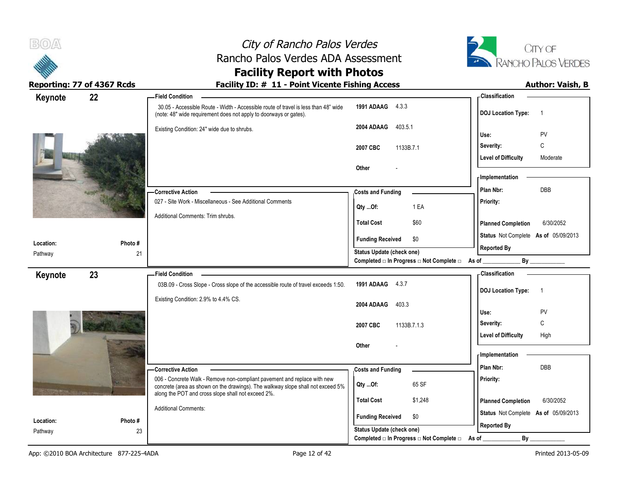

# **Facility Report with Photos**

| Keynote              | 22           | <b>Field Condition</b>                                                                                                                                      |                                                             | - Classification                                     |
|----------------------|--------------|-------------------------------------------------------------------------------------------------------------------------------------------------------------|-------------------------------------------------------------|------------------------------------------------------|
|                      |              | 30.05 - Accessible Route - Width - Accessible route of travel is less than 48" wide<br>(note: 48" wide requirement does not apply to doorways or gates).    | 1991 ADAAG 4.3.3                                            | <b>DOJ Location Type:</b><br>$\overline{\mathbf{1}}$ |
|                      |              | Existing Condition: 24" wide due to shrubs.                                                                                                                 | 2004 ADAAG<br>403.5.1                                       | PV<br>Use:                                           |
|                      |              |                                                                                                                                                             | 1133B.7.1<br>2007 CBC                                       | C<br>Severity:                                       |
|                      |              |                                                                                                                                                             |                                                             | <b>Level of Difficulty</b><br>Moderate               |
|                      |              |                                                                                                                                                             | Other                                                       |                                                      |
|                      |              |                                                                                                                                                             |                                                             | - Implementation                                     |
|                      |              | -Corrective Action                                                                                                                                          | <b>Costs and Funding</b>                                    | DBB<br>Plan Nbr:                                     |
|                      |              | 027 - Site Work - Miscellaneous - See Additional Comments                                                                                                   | 1 EA<br>Qty Of:                                             | Priority:                                            |
|                      |              | Additional Comments: Trim shrubs.                                                                                                                           | \$60<br><b>Total Cost</b>                                   | <b>Planned Completion</b><br>6/30/2052               |
|                      | Photo#       |                                                                                                                                                             | <b>Funding Received</b><br>\$0                              | Status Not Complete As of 05/09/2013                 |
| Location:<br>Pathway | 21           |                                                                                                                                                             | <b>Status Update (check one)</b>                            | <b>Reported By</b>                                   |
|                      |              |                                                                                                                                                             | Completed □ In Progress □ Not Complete □ As of _            |                                                      |
| Keynote              | 23           | <b>Field Condition</b>                                                                                                                                      |                                                             | - Classification                                     |
|                      |              | 03B.09 - Cross Slope - Cross slope of the accessible route of travel exceeds 1:50.                                                                          | 1991 ADAAG 4.3.7                                            | <b>DOJ Location Type:</b><br>$\overline{1}$          |
|                      |              | Existing Condition: 2.9% to 4.4% CS.                                                                                                                        |                                                             |                                                      |
|                      |              |                                                                                                                                                             | 2004 ADAAG<br>403.3                                         | Use:<br><b>PV</b>                                    |
|                      |              |                                                                                                                                                             |                                                             | $\mathbb C$<br>Severity:                             |
|                      |              |                                                                                                                                                             |                                                             |                                                      |
|                      |              |                                                                                                                                                             | 2007 CBC<br>1133B.7.1.3                                     | <b>Level of Difficulty</b><br>High                   |
|                      |              |                                                                                                                                                             | Other                                                       |                                                      |
|                      |              |                                                                                                                                                             |                                                             | - Implementation                                     |
|                      |              | -Corrective Action                                                                                                                                          | <b>Costs and Funding</b>                                    | Plan Nbr:<br>DBB                                     |
|                      |              | 006 - Concrete Walk - Remove non-compliant pavement and replace with new<br>concrete (area as shown on the drawings). The walkway slope shall not exceed 5% | 65 SF<br>Qty Of:                                            | Priority:                                            |
|                      |              | along the POT and cross slope shall not exceed 2%.                                                                                                          | <b>Total Cost</b><br>\$1,248                                | <b>Planned Completion</b><br>6/30/2052               |
|                      |              | <b>Additional Comments:</b>                                                                                                                                 |                                                             | Status Not Complete As of 05/09/2013                 |
| Location:<br>Pathway | Photo#<br>23 |                                                                                                                                                             | <b>Funding Received</b><br>\$0<br>Status Update (check one) | <b>Reported By</b>                                   |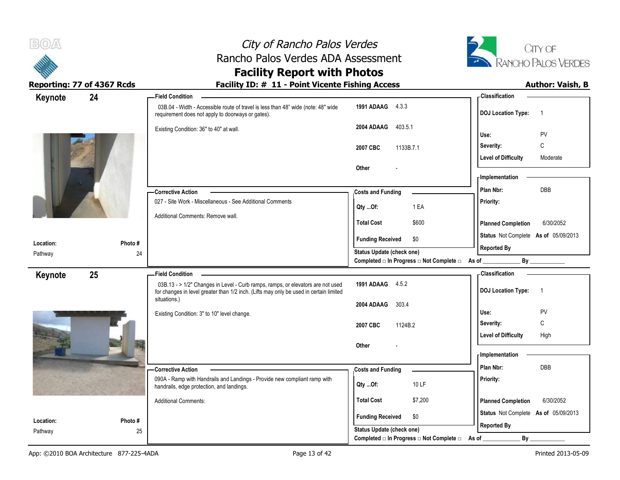



# **Facility Report with Photos**

| Keynote              | 24      | <b>Field Condition</b>                                                                                                                                                    |                                                                                    | - Classification                            |
|----------------------|---------|---------------------------------------------------------------------------------------------------------------------------------------------------------------------------|------------------------------------------------------------------------------------|---------------------------------------------|
|                      |         | 03B.04 - Width - Accessible route of travel is less than 48" wide (note: 48" wide<br>requirement does not apply to doorways or gates).                                    | 1991 ADAAG 4.3.3                                                                   | <b>DOJ Location Type:</b><br>$\overline{1}$ |
|                      |         | Existing Condition: 36" to 40" at wall.                                                                                                                                   | 2004 ADAAG<br>403.5.1                                                              | PV<br>Use:                                  |
|                      |         |                                                                                                                                                                           | 1133B.7.1<br>2007 CBC                                                              | С<br>Severity:                              |
|                      |         |                                                                                                                                                                           |                                                                                    | <b>Level of Difficulty</b><br>Moderate      |
|                      |         |                                                                                                                                                                           | Other                                                                              |                                             |
|                      |         |                                                                                                                                                                           |                                                                                    | - Implementation                            |
|                      |         | -Corrective Action                                                                                                                                                        | <b>Costs and Funding</b>                                                           | <b>DBB</b><br>Plan Nbr:                     |
|                      |         | 027 - Site Work - Miscellaneous - See Additional Comments                                                                                                                 | 1 EA<br>Qty Of:                                                                    | Priority:                                   |
|                      |         | Additional Comments: Remove wall.                                                                                                                                         | <b>Total Cost</b><br>\$600                                                         | <b>Planned Completion</b><br>6/30/2052      |
| Location:            | Photo#  |                                                                                                                                                                           | <b>Funding Received</b><br>\$0                                                     | Status Not Complete As of 05/09/2013        |
| Pathway              |         | 24                                                                                                                                                                        | Status Update (check one)                                                          | <b>Reported By</b>                          |
|                      |         |                                                                                                                                                                           | Completed □ In Progress □ Not Complete □ As of                                     | By                                          |
| Keynote              | 25      | <b>Field Condition</b>                                                                                                                                                    |                                                                                    | - Classification                            |
|                      |         | 03B.13 - > 1/2" Changes in Level - Curb ramps, ramps, or elevators are not used<br>for changes in level greater than 1/2 inch. (Lifts may only be used in certain limited | 1991 ADAAG 4.5.2                                                                   | <b>DOJ Location Type:</b><br>$\overline{1}$ |
|                      |         | situations.)                                                                                                                                                              | 2004 ADAAG<br>303.4                                                                |                                             |
|                      |         | Existing Condition: 3" to 10" level change.                                                                                                                               |                                                                                    | Use:<br><b>PV</b>                           |
|                      |         |                                                                                                                                                                           | 1124B.2<br>2007 CBC                                                                | C<br>Severity:                              |
|                      |         |                                                                                                                                                                           | Other                                                                              | <b>Level of Difficulty</b><br>High          |
|                      |         |                                                                                                                                                                           |                                                                                    | - Implementation                            |
|                      |         | - Corrective Action                                                                                                                                                       | <b>Costs and Funding</b>                                                           | Plan Nbr:<br>DBB                            |
|                      |         | 090A - Ramp with Handrails and Landings - Provide new compliant ramp with<br>handrails, edge protection, and landings.                                                    | 10 LF<br>Qty Of:                                                                   | Priority:                                   |
|                      |         | <b>Additional Comments:</b>                                                                                                                                               | <b>Total Cost</b><br>\$7,200                                                       | <b>Planned Completion</b><br>6/30/2052      |
|                      |         |                                                                                                                                                                           |                                                                                    |                                             |
|                      |         |                                                                                                                                                                           | <b>Funding Received</b><br>\$0                                                     | Status Not Complete As of 05/09/2013        |
| Location:<br>Pathway | Photo # | 25                                                                                                                                                                        | <b>Status Update (check one)</b><br>Completed □ In Progress □ Not Complete □ As of | <b>Reported By</b><br>By                    |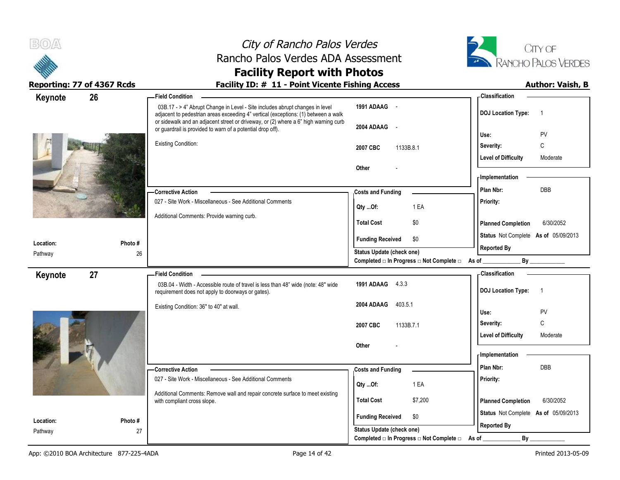



### **Facility Report with Photos** Reporting: 77 of 4367 Rcds **Facility ID: # 11 - Point Vicente Fishing Access** Author: Vaish, B

| 26<br>Keynote<br><b>Field Condition</b>    |                                                                                                                                                                                    | -Classification                             |
|--------------------------------------------|------------------------------------------------------------------------------------------------------------------------------------------------------------------------------------|---------------------------------------------|
|                                            | 1991 ADAAG -<br>03B.17 - > 4" Abrupt Change in Level - Site includes abrupt changes in level<br>adjacent to pedestrian areas exceeding 4" vertical (exceptions: (1) between a walk | <b>DOJ Location Type:</b><br>$\overline{1}$ |
|                                            | or sidewalk and an adjacent street or driveway, or (2) where a 6" high warning curb<br>2004 ADAAG<br>$\sim$<br>or guardrail is provided to warn of a potential drop off).          | PV<br>Use:                                  |
| <b>Existing Condition:</b>                 | 2007 CBC<br>1133B.8.1                                                                                                                                                              | C<br>Severity:                              |
|                                            |                                                                                                                                                                                    | <b>Level of Difficulty</b><br>Moderate      |
|                                            | Other                                                                                                                                                                              |                                             |
|                                            |                                                                                                                                                                                    | - Implementation                            |
| - Corrective Action                        | <b>Costs and Funding</b>                                                                                                                                                           | DBB<br>Plan Nbr:                            |
|                                            | 027 - Site Work - Miscellaneous - See Additional Comments<br>1 EA<br>Qty Of:                                                                                                       | Priority:                                   |
| Additional Comments: Provide warning curb. |                                                                                                                                                                                    |                                             |
|                                            | <b>Total Cost</b><br>\$0                                                                                                                                                           | <b>Planned Completion</b><br>6/30/2052      |
| Photo #<br>Location:                       | <b>Funding Received</b><br>\$0                                                                                                                                                     | Status Not Complete As of 05/09/2013        |
| 26<br>Pathway                              | Status Update (check one)                                                                                                                                                          | <b>Reported By</b>                          |
|                                            | Completed □ In Progress □ Not Complete □ As of _                                                                                                                                   |                                             |
| 27<br><b>Field Condition</b><br>Keynote    |                                                                                                                                                                                    | <b>Classification</b>                       |
|                                            | 1991 ADAAG 4.3.3<br>03B.04 - Width - Accessible route of travel is less than 48" wide (note: 48" wide<br>requirement does not apply to doorways or gates).                         | <b>DOJ Location Type:</b><br>$\overline{1}$ |
| Existing Condition: 36" to 40" at wall.    | 403.5.1<br>2004 ADAAG                                                                                                                                                              | PV<br>Use:                                  |
|                                            |                                                                                                                                                                                    | C<br>Severity:                              |
|                                            | 2007 CBC<br>1133B.7.1                                                                                                                                                              | <b>Level of Difficulty</b><br>Moderate      |
|                                            | Other                                                                                                                                                                              |                                             |
|                                            |                                                                                                                                                                                    | - Implementation                            |
| - Corrective Action                        | <b>Costs and Funding</b>                                                                                                                                                           | DBB<br>Plan Nbr:                            |
|                                            | 027 - Site Work - Miscellaneous - See Additional Comments<br>1 EA                                                                                                                  | Priority:                                   |
|                                            | Qty Of:<br>Additional Comments: Remove wall and repair concrete surface to meet existing                                                                                           |                                             |
|                                            | <b>Total Cost</b><br>\$7,200                                                                                                                                                       | <b>Planned Completion</b><br>6/30/2052      |
| with compliant cross slope.                |                                                                                                                                                                                    |                                             |
|                                            | \$0                                                                                                                                                                                | Status Not Complete As of 05/09/2013        |
| Location:<br>Photo#<br>27<br>Pathway       | <b>Funding Received</b><br>Status Update (check one)                                                                                                                               | <b>Reported By</b>                          |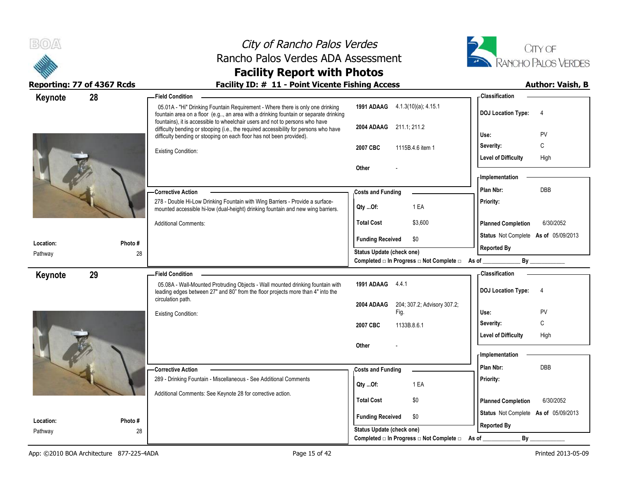|                            | City of Rancho Palos Verdes                                                                                                                                                                                                                            |                                                                             |                                      | CITY OF                    |
|----------------------------|--------------------------------------------------------------------------------------------------------------------------------------------------------------------------------------------------------------------------------------------------------|-----------------------------------------------------------------------------|--------------------------------------|----------------------------|
|                            | Rancho Palos Verdes ADA Assessment<br><b>Facility Report with Photos</b>                                                                                                                                                                               |                                                                             |                                      | <b>RANCHO PALOS VERDES</b> |
| Reporting: 77 of 4367 Rcds | Facility ID: # 11 - Point Vicente Fishing Access                                                                                                                                                                                                       |                                                                             |                                      | <b>Author: Vaish, B</b>    |
| 28<br>Keynote              | <b>Field Condition</b>                                                                                                                                                                                                                                 |                                                                             | Classification                       |                            |
|                            | 05.01A - "Hi" Drinking Fountain Requirement - Where there is only one drinking<br>fountain area on a floor (e.g, an area with a drinking fountain or separate drinking<br>fountains), it is accessible to wheelchair users and not to persons who have | 1991 ADAAG 4.1.3(10)(a); 4.15.1                                             | DOJ Location Type: 4                 |                            |
|                            | difficulty bending or stooping (i.e., the required accessibility for persons who have<br>difficulty bending or stooping on each floor has not been provided).                                                                                          | 2004 ADAAG 211.1, 211.2                                                     | Use:                                 | PV                         |
|                            | <b>Existing Condition:</b>                                                                                                                                                                                                                             | 2007 CBC<br>1115B.4.6 item 1                                                | Severity:                            | C                          |
|                            |                                                                                                                                                                                                                                                        | Other                                                                       | Level of Difficulty                  | High                       |
|                            |                                                                                                                                                                                                                                                        |                                                                             | <b>Implementation</b>                |                            |
|                            | - Corrective Action                                                                                                                                                                                                                                    | <b>Costs and Funding</b>                                                    | Plan Nbr:                            | DBB                        |
|                            | 278 - Double Hi-Low Drinking Fountain with Wing Barriers - Provide a surface-<br>mounted accessible hi-low (dual-height) drinking fountain and new wing barriers.                                                                                      | 1 EA<br>Qty Of:                                                             | <b>Priority:</b>                     |                            |
|                            | <b>Additional Comments:</b>                                                                                                                                                                                                                            | \$3,600<br><b>Total Cost</b>                                                | <b>Planned Completion</b>            | 6/30/2052                  |
| Location:<br>Photo #       |                                                                                                                                                                                                                                                        | <b>Funding Received</b><br>\$0                                              | Status Not Complete As of 05/09/2013 |                            |
| Pathway<br>28              |                                                                                                                                                                                                                                                        | <b>Status Update (check one)</b>                                            | <b>Reported By</b>                   |                            |
|                            |                                                                                                                                                                                                                                                        | Completed □ In Progress □ Not Complete □ As of                              |                                      | $\mathsf{By}$              |
| 29<br>Keynote              | <b>Field Condition</b>                                                                                                                                                                                                                                 |                                                                             | <b>Classification</b>                |                            |
|                            | 05.08A - Wall-Mounted Protruding Objects - Wall mounted drinking fountain with<br>leading edges between 27" and 80" from the floor projects more than 4" into the<br>circulation path.                                                                 | 1991 ADAAG 4.4.1                                                            | <b>DOJ Location Type:</b>            | 4                          |
|                            | <b>Existing Condition:</b>                                                                                                                                                                                                                             | 2004 ADAAG 204; 307.2; Advisory 307.2;<br>Fig.                              | Use:                                 | PV                         |
|                            |                                                                                                                                                                                                                                                        | 1133B.8.6.1<br>2007 CBC                                                     | Severity:                            | C                          |
|                            |                                                                                                                                                                                                                                                        |                                                                             | <b>Level of Difficulty</b>           | High                       |
|                            |                                                                                                                                                                                                                                                        | Other                                                                       | - Implementation                     |                            |
|                            | - Corrective Action                                                                                                                                                                                                                                    | <b>Costs and Funding</b>                                                    | Plan Nbr:                            | <b>DBB</b>                 |
|                            | 289 - Drinking Fountain - Miscellaneous - See Additional Comments                                                                                                                                                                                      | 1 EA<br>$Qty$ Of:                                                           | Priority:                            |                            |
|                            | Additional Comments: See Keynote 28 for corrective action.                                                                                                                                                                                             | <b>Total Cost</b><br>\$0                                                    | <b>Planned Completion</b>            | 6/30/2052                  |
| Location:<br>Photo #       |                                                                                                                                                                                                                                                        | <b>Funding Received</b><br>\$0                                              | Status Not Complete As of 05/09/2013 |                            |
| 28<br>Pathway              |                                                                                                                                                                                                                                                        | Status Update (check one)<br>Completed □ In Progress □ Not Complete □ As of | <b>Reported By</b><br>By             |                            |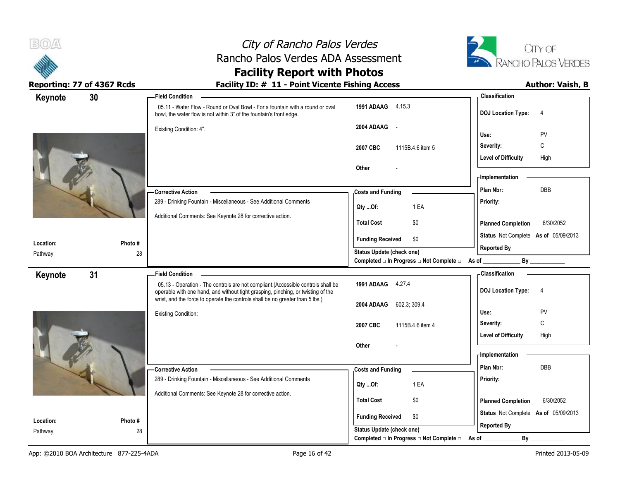



# **Facility Report with Photos**

| Keynote              | 30           | -Field Condition                                                                                                                                                     |                                                  | - Classification                            |
|----------------------|--------------|----------------------------------------------------------------------------------------------------------------------------------------------------------------------|--------------------------------------------------|---------------------------------------------|
|                      |              | 05.11 - Water Flow - Round or Oval Bowl - For a fountain with a round or oval<br>bowl, the water flow is not within 3" of the fountain's front edge.                 | 1991 ADAAG 4.15.3                                | <b>DOJ Location Type:</b><br>$\overline{4}$ |
|                      |              | Existing Condition: 4".                                                                                                                                              | 2004 ADAAG -                                     |                                             |
|                      |              |                                                                                                                                                                      |                                                  | PV<br>Use:<br>C<br>Severity:                |
|                      |              |                                                                                                                                                                      | 2007 CBC<br>1115B.4.6 item 5                     | <b>Level of Difficulty</b><br>High          |
|                      |              |                                                                                                                                                                      | Other                                            |                                             |
|                      |              |                                                                                                                                                                      |                                                  | - Implementation                            |
|                      |              | - Corrective Action                                                                                                                                                  | <b>Costs and Funding</b>                         | DBB<br>Plan Nbr:                            |
|                      |              | 289 - Drinking Fountain - Miscellaneous - See Additional Comments                                                                                                    | 1 EA                                             | Priority:                                   |
|                      |              | Additional Comments: See Keynote 28 for corrective action.                                                                                                           | Qty Of:                                          |                                             |
|                      |              |                                                                                                                                                                      | \$0<br><b>Total Cost</b>                         | <b>Planned Completion</b><br>6/30/2052      |
| Location:            | Photo#       |                                                                                                                                                                      | <b>Funding Received</b><br>\$0                   | Status Not Complete As of 05/09/2013        |
| Pathway              | 28           |                                                                                                                                                                      | <b>Status Update (check one)</b>                 | <b>Reported By</b>                          |
|                      |              |                                                                                                                                                                      | Completed □ In Progress □ Not Complete □ As of _ | By                                          |
| Keynote              | 31           | <b>Field Condition</b>                                                                                                                                               |                                                  | - Classification                            |
|                      |              | 05.13 - Operation - The controls are not compliant.(Accessible controls shall be<br>operable with one hand, and without tight grasping, pinching, or twisting of the | 1991 ADAAG 4.27.4                                | <b>DOJ Location Type:</b><br>$\overline{4}$ |
|                      |              | wrist, and the force to operate the controls shall be no greater than 5 lbs.)                                                                                        | 2004 ADAAG 602.3; 309.4                          |                                             |
|                      |              | <b>Existing Condition:</b>                                                                                                                                           |                                                  | PV<br>Use:                                  |
|                      |              |                                                                                                                                                                      | 2007 CBC<br>1115B.4.6 item 4                     | $\mathsf{C}$<br>Severity:                   |
|                      |              |                                                                                                                                                                      |                                                  | <b>Level of Difficulty</b><br>High          |
|                      |              |                                                                                                                                                                      | Other                                            | - Implementation                            |
|                      |              | - Corrective Action                                                                                                                                                  |                                                  | DBB<br>Plan Nbr:                            |
|                      |              | 289 - Drinking Fountain - Miscellaneous - See Additional Comments                                                                                                    | <b>Costs and Funding</b>                         | Priority:                                   |
|                      |              | Additional Comments: See Keynote 28 for corrective action.                                                                                                           | 1 EA<br>Qty Of:                                  |                                             |
|                      |              |                                                                                                                                                                      | <b>Total Cost</b><br>\$0                         | <b>Planned Completion</b><br>6/30/2052      |
|                      |              |                                                                                                                                                                      | \$0<br><b>Funding Received</b>                   | Status Not Complete As of 05/09/2013        |
| Location:<br>Pathway | Photo#<br>28 |                                                                                                                                                                      | Status Update (check one)                        | <b>Reported By</b>                          |
|                      |              |                                                                                                                                                                      | Completed □ In Progress □ Not Complete □         | $By$ <sub>—</sub><br>As of _                |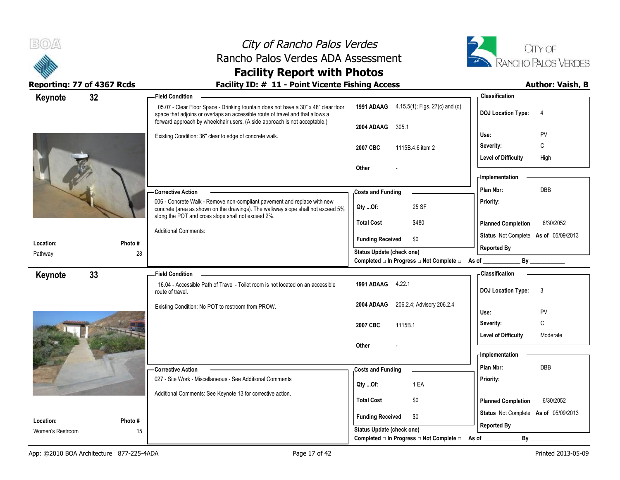



## **Facility Report with Photos**

| Keynote          | 32 |         | <b>Field Condition</b>                                                                                                                                                                                                                              |                                                | - Classification                          |
|------------------|----|---------|-----------------------------------------------------------------------------------------------------------------------------------------------------------------------------------------------------------------------------------------------------|------------------------------------------------|-------------------------------------------|
|                  |    |         | 05.07 - Clear Floor Space - Drinking fountain does not have a 30" x 48" clear floor<br>space that adjoins or overlaps an accessible route of travel and that allows a<br>forward approach by wheelchair users. (A side approach is not acceptable.) | 1991 ADAAG 4.15.5(1); Figs. 27(c) and (d)      | <b>DOJ Location Type:</b><br>4            |
|                  |    |         |                                                                                                                                                                                                                                                     | 2004 ADAAG<br>305.1                            | PV                                        |
|                  |    |         | Existing Condition: 36" clear to edge of concrete walk.                                                                                                                                                                                             |                                                | Use:                                      |
|                  |    |         |                                                                                                                                                                                                                                                     | 2007 CBC<br>1115B.4.6 item 2                   | Severity:<br>С                            |
|                  |    |         |                                                                                                                                                                                                                                                     |                                                | <b>Level of Difficulty</b><br>High        |
|                  |    |         |                                                                                                                                                                                                                                                     | Other                                          | - Implementation                          |
|                  |    |         |                                                                                                                                                                                                                                                     |                                                | <b>DBB</b><br>Plan Nbr:                   |
|                  |    |         | -Corrective Action<br>006 - Concrete Walk - Remove non-compliant pavement and replace with new                                                                                                                                                      | <b>Costs and Funding</b>                       |                                           |
|                  |    |         | concrete (area as shown on the drawings). The walkway slope shall not exceed 5%                                                                                                                                                                     | 25 SF<br>Qty Of:                               | Priority:                                 |
|                  |    |         | along the POT and cross slope shall not exceed 2%.                                                                                                                                                                                                  | <b>Total Cost</b><br>\$480                     | <b>Planned Completion</b><br>6/30/2052    |
|                  |    |         | <b>Additional Comments:</b>                                                                                                                                                                                                                         | \$0<br><b>Funding Received</b>                 | Status Not Complete As of 05/09/2013      |
| Location:        |    | Photo # |                                                                                                                                                                                                                                                     | <b>Status Update (check one)</b>               | <b>Reported By</b>                        |
| Pathway          |    | 28      |                                                                                                                                                                                                                                                     | Completed □ In Progress □ Not Complete □ As of | By                                        |
| Keynote          | 33 |         | <b>Field Condition</b>                                                                                                                                                                                                                              |                                                | - Classification                          |
|                  |    |         | 16.04 - Accessible Path of Travel - Toilet room is not located on an accessible<br>route of travel.                                                                                                                                                 | 1991 ADAAG 4.22.1                              | <b>DOJ Location Type:</b><br>$\mathbf{3}$ |
|                  |    |         | Existing Condition: No POT to restroom from PROW.                                                                                                                                                                                                   | 206.2.4; Advisory 206.2.4<br>2004 ADAAG        | Use:<br><b>PV</b>                         |
|                  |    |         |                                                                                                                                                                                                                                                     | 1115B.1<br>2007 CBC                            | C<br>Severity:                            |
|                  |    |         |                                                                                                                                                                                                                                                     |                                                | <b>Level of Difficulty</b><br>Moderate    |
|                  |    |         |                                                                                                                                                                                                                                                     | <b>Other</b>                                   |                                           |
|                  |    |         |                                                                                                                                                                                                                                                     |                                                | - Implementation                          |
|                  |    |         | - Corrective Action                                                                                                                                                                                                                                 | <b>Costs and Funding</b>                       | Plan Nbr:<br>DBB                          |
|                  |    |         | 027 - Site Work - Miscellaneous - See Additional Comments                                                                                                                                                                                           | 1 EA<br>Qty Of:                                | Priority:                                 |
|                  |    |         | Additional Comments: See Keynote 13 for corrective action.                                                                                                                                                                                          |                                                |                                           |
|                  |    |         |                                                                                                                                                                                                                                                     | <b>Total Cost</b><br>\$0                       | <b>Planned Completion</b><br>6/30/2052    |
| Location:        |    | Photo # |                                                                                                                                                                                                                                                     | <b>Funding Received</b><br>\$0                 | Status Not Complete As of 05/09/2013      |
| Women's Restroom |    | 15      |                                                                                                                                                                                                                                                     | <b>Status Update (check one)</b>               | <b>Reported By</b>                        |
|                  |    |         |                                                                                                                                                                                                                                                     | Completed □ In Progress □ Not Complete □ As of | By                                        |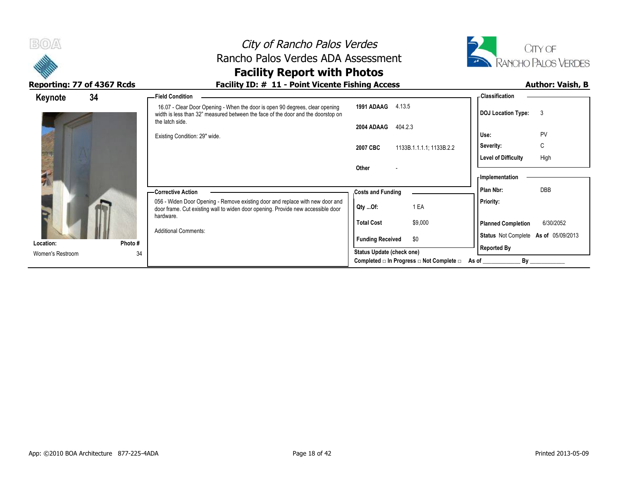

## City of Rancho Palos Verdes Rancho Palos Verdes ADA Assessment **Facility Report with Photos**



| Keynote          | 34     | -Field Condition                                                                                                                                                                                                                    |                                                                                     |                                                                  | <b>Classification</b>                                                                                                                               |                 |
|------------------|--------|-------------------------------------------------------------------------------------------------------------------------------------------------------------------------------------------------------------------------------------|-------------------------------------------------------------------------------------|------------------------------------------------------------------|-----------------------------------------------------------------------------------------------------------------------------------------------------|-----------------|
|                  |        | 16.07 - Clear Door Opening - When the door is open 90 degrees, clear opening<br>width is less than 32" measured between the face of the door and the doorstop on                                                                    | 1991 ADAAG                                                                          | 4.13.5                                                           | <b>DOJ</b> Location Type:                                                                                                                           | 3               |
|                  |        | the latch side.<br>2004 ADAAG<br>Existing Condition: 29" wide.<br>2007 CBC<br>Other                                                                                                                                                 |                                                                                     | 404.2.3<br>1133B.1.1.1.1, 1133B.2.2                              | Use:<br>Severity:<br><b>Level of Difficulty</b>                                                                                                     | PV<br>С<br>High |
| Location:        | Photo# | -Corrective Action<br>056 - Widen Door Opening - Remove existing door and replace with new door and<br>door frame. Cut existing wall to widen door opening. Provide new accessible door<br>hardware.<br><b>Additional Comments:</b> | <b>Costs and Funding</b><br>Qty Of:<br><b>Total Cost</b><br><b>Funding Received</b> | 1 EA<br>\$9,000<br>\$0                                           | - Implementation<br>DBB<br>Plan Nbr:<br><b>Priority:</b><br><b>Planned Completion</b><br>Status Not Complete As of 05/09/2013<br><b>Reported By</b> | 6/30/2052       |
| Women's Restroom | 34     |                                                                                                                                                                                                                                     | Status Update (check one)                                                           | Completed $\square$ In Progress $\square$ Not Complete $\square$ | By<br>As of                                                                                                                                         |                 |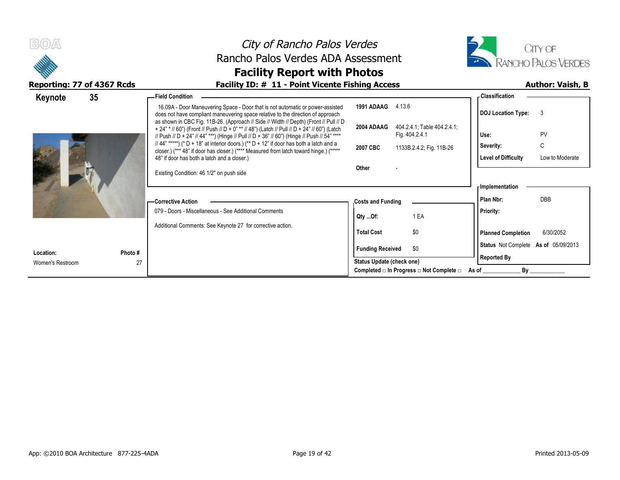| <b>BO</b>        |                            | City of Rancho Palos Verdes                                                                                                                                                                                                                                                          |                           |                                                               |                                      | CITY OF                    |  |
|------------------|----------------------------|--------------------------------------------------------------------------------------------------------------------------------------------------------------------------------------------------------------------------------------------------------------------------------------|---------------------------|---------------------------------------------------------------|--------------------------------------|----------------------------|--|
|                  |                            | Rancho Palos Verdes ADA Assessment                                                                                                                                                                                                                                                   |                           |                                                               |                                      | <b>RANCHO PALOS VERDES</b> |  |
|                  |                            | <b>Facility Report with Photos</b>                                                                                                                                                                                                                                                   |                           |                                                               |                                      |                            |  |
|                  | Reporting: 77 of 4367 Rcds | Facility ID: # 11 - Point Vicente Fishing Access                                                                                                                                                                                                                                     |                           |                                                               |                                      | <b>Author: Vaish, B</b>    |  |
| Keynote          | 35                         | - Field Condition                                                                                                                                                                                                                                                                    |                           |                                                               | - Classification                     |                            |  |
|                  |                            | 16.09A - Door Maneuvering Space - Door that is not automatic or power-assisted<br>does not have compliant maneuvering space relative to the direction of approach                                                                                                                    | 1991 ADAAG 4.13.6         |                                                               | DOJ Location Type: 3                 |                            |  |
|                  |                            | as shown in CBC Fig. 11B-26. (Approach // Side // Width // Depth) (Front // Pull // D<br>+ 24" * // 60") (Front // Push // D + 0" ** // 48") (Latch // Pull // D + 24" // 60") (Latch<br>// Push // D + 24" // 44" ***) (Hinge // Pull // D + 36" // 60") (Hinge // Push // 54" **** | 2004 ADAAG                | 404.2.4.1, Table 404.2.4.1;<br>Fig. 404.2.4.1                 | Use:                                 | PV                         |  |
|                  |                            | // 44" *****) (* D + 18" at interior doors.) (** D + 12" if door has both a latch and a<br>closer.) (*** 48" if door has closer.) (**** Measured from latch toward hinge.) (*****                                                                                                    | 2007 CBC                  | 1133B.2.4.2, Fig. 11B-26                                      | Severity:                            | C                          |  |
|                  |                            | 48" if door has both a latch and a closer.)                                                                                                                                                                                                                                          |                           |                                                               | <b>Level of Difficulty</b>           | Low to Moderate            |  |
|                  |                            | Existing Condition: 46 1/2" on push side                                                                                                                                                                                                                                             | Other                     |                                                               |                                      |                            |  |
|                  |                            |                                                                                                                                                                                                                                                                                      |                           |                                                               | <b>Implementation</b>                |                            |  |
|                  |                            | -Corrective Action                                                                                                                                                                                                                                                                   | <b>Costs and Funding</b>  |                                                               | Plan Nbr:                            | <b>DBB</b>                 |  |
|                  |                            | 079 - Doors - Miscellaneous - See Additional Comments                                                                                                                                                                                                                                | Qty Of:                   | 1 EA                                                          | <b>Priority:</b>                     |                            |  |
|                  |                            | Additional Comments: See Keynote 27 for corrective action.                                                                                                                                                                                                                           |                           |                                                               |                                      |                            |  |
|                  |                            |                                                                                                                                                                                                                                                                                      | <b>Total Cost</b>         | \$0                                                           | <b>Planned Completion</b>            | 6/30/2052                  |  |
| Location:        | Photo #                    |                                                                                                                                                                                                                                                                                      | <b>Funding Received</b>   | \$0                                                           | Status Not Complete As of 05/09/2013 |                            |  |
| Women's Restroom | 27                         |                                                                                                                                                                                                                                                                                      | Status Update (check one) |                                                               | <b>Reported By</b>                   |                            |  |
|                  |                            |                                                                                                                                                                                                                                                                                      |                           | Completed $\Box$ In Progress $\Box$ Not Complete $\Box$ As of | By                                   |                            |  |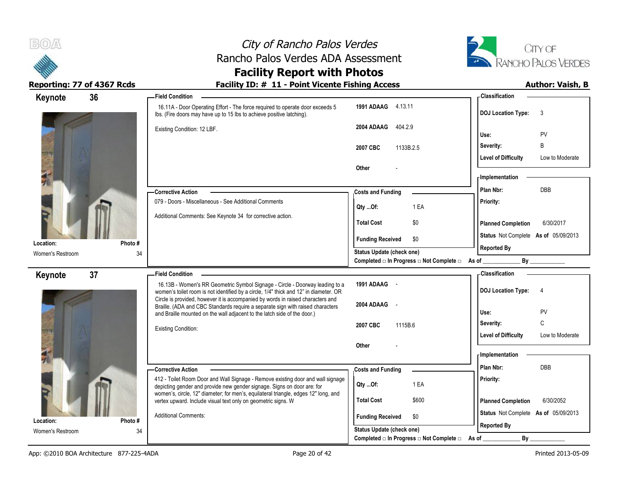



### **Facility Report with Photos** Reporting: 77 of 4367 Rcds **Facility ID: # 11 - Point Vicente Fishing Access** Author: Vaish, B

| 36<br>Keynote                 |               | <b>Field Condition</b>                                                                                                                                                |                                                | - Classification                                                |
|-------------------------------|---------------|-----------------------------------------------------------------------------------------------------------------------------------------------------------------------|------------------------------------------------|-----------------------------------------------------------------|
|                               |               | 16.11A - Door Operating Effort - The force required to operate door exceeds 5<br>Ibs. (Fire doors may have up to 15 lbs to achieve positive latching).                | 1991 ADAAG 4.13.11                             | <b>DOJ Location Type:</b><br>3                                  |
|                               |               | Existing Condition: 12 LBF.                                                                                                                                           | 2004 ADAAG<br>404.2.9                          | PV<br>Use:                                                      |
|                               |               |                                                                                                                                                                       | 1133B.2.5<br>2007 CBC                          | B<br>Severity:                                                  |
|                               |               |                                                                                                                                                                       | Other                                          | <b>Level of Difficulty</b><br>Low to Moderate                   |
|                               |               |                                                                                                                                                                       |                                                | <b>Implementation</b>                                           |
|                               |               | <b>Corrective Action</b>                                                                                                                                              | <b>Costs and Funding</b>                       | Plan Nbr:<br><b>DBB</b>                                         |
|                               |               | 079 - Doors - Miscellaneous - See Additional Comments                                                                                                                 | 1 EA<br>Qty Of:                                | Priority:                                                       |
|                               |               | Additional Comments: See Keynote 34 for corrective action.                                                                                                            | \$0<br><b>Total Cost</b>                       | <b>Planned Completion</b><br>6/30/2017                          |
| Location:                     | Photo#        |                                                                                                                                                                       | \$0<br><b>Funding Received</b>                 | Status Not Complete As of 05/09/2013                            |
| Women's Restroom              | 34            |                                                                                                                                                                       | Status Update (check one)                      | <b>Reported By</b>                                              |
|                               |               |                                                                                                                                                                       | Completed □ In Progress □ Not Complete □ As of | By                                                              |
| 37<br>Keynote                 |               | <b>Field Condition</b>                                                                                                                                                |                                                | <b>Classification</b>                                           |
|                               |               | 16.13B - Women's RR Geometric Symbol Signage - Circle - Doorway leading to a<br>women's toilet room is not identified by a circle, 1/4" thick and 12" in diameter. OR | 1991 ADAAG -                                   | <b>DOJ Location Type:</b><br>$\overline{4}$                     |
|                               |               | Circle is provided, however it is accompanied by words in raised characters and                                                                                       | 2004 ADAAG -                                   |                                                                 |
|                               |               | Braille. (ADA and CBC Standards require a separate sign with raised characters                                                                                        |                                                |                                                                 |
|                               |               | and Braille mounted on the wall adjacent to the latch side of the door.)                                                                                              |                                                | PV<br>Use:                                                      |
|                               |               | <b>Existing Condition:</b>                                                                                                                                            | 2007 CBC<br>1115B.6                            | C<br>Severity:<br><b>Level of Difficulty</b><br>Low to Moderate |
|                               |               |                                                                                                                                                                       | Other                                          |                                                                 |
|                               |               |                                                                                                                                                                       |                                                | <b>Implementation</b>                                           |
|                               |               | - Corrective Action                                                                                                                                                   | <b>Costs and Funding</b>                       | DBB<br>Plan Nbr:                                                |
|                               |               | 412 - Toilet Room Door and Wall Signage - Remove existing door and wall signage<br>depicting gender and provide new gender signage. Signs on door are: for            | Qty Of:<br>1 EA                                | Priority:                                                       |
|                               |               | women's, circle, 12" diameter; for men's, equilateral triangle, edges 12" long, and<br>vertex upward. Include visual text only on geometric signs. W                  | <b>Total Cost</b><br>\$600                     | <b>Planned Completion</b><br>6/30/2052                          |
|                               |               | <b>Additional Comments:</b>                                                                                                                                           | <b>Funding Received</b><br>\$0                 | Status Not Complete As of 05/09/2013                            |
| Location:<br>Women's Restroom | Photo #<br>34 |                                                                                                                                                                       | Status Update (check one)                      | <b>Reported By</b>                                              |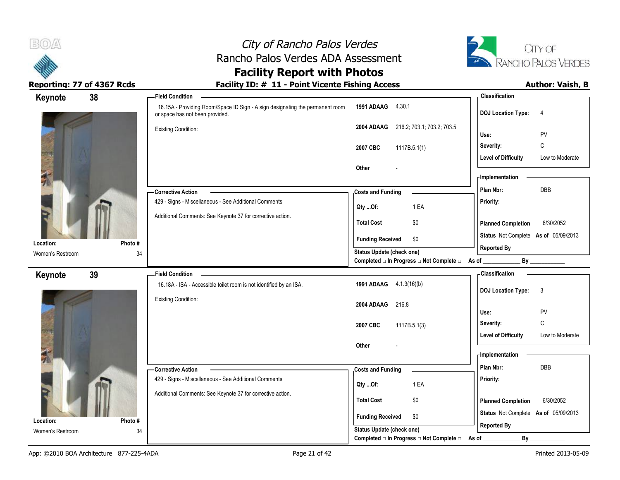

# City of Rancho Palos Verdes Rancho Palos Verdes ADA Assessment **Facility Report with Photos**



| 38<br>Keynote                 |              | - Field Condition                                                                                                |                                                  | -Classification                               |
|-------------------------------|--------------|------------------------------------------------------------------------------------------------------------------|--------------------------------------------------|-----------------------------------------------|
|                               |              | 16.15A - Providing Room/Space ID Sign - A sign designating the permanent room<br>or space has not been provided. | 1991 ADAAG 4.30.1                                | <b>DOJ</b> Location Type:<br>$\overline{4}$   |
|                               |              | <b>Existing Condition:</b>                                                                                       | 216.2; 703.1; 703.2; 703.5<br>2004 ADAAG         | PV<br>Use:                                    |
|                               |              |                                                                                                                  | 2007 CBC<br>1117B.5.1(1)                         | C<br>Severity:                                |
|                               |              |                                                                                                                  |                                                  | <b>Level of Difficulty</b><br>Low to Moderate |
|                               |              |                                                                                                                  | Other                                            | - Implementation                              |
|                               |              | - Corrective Action                                                                                              | <b>Costs and Funding</b>                         | DBB<br>Plan Nbr:                              |
|                               |              | 429 - Signs - Miscellaneous - See Additional Comments                                                            | 1 EA<br>Qty Of:                                  | Priority:                                     |
|                               |              | Additional Comments: See Keynote 37 for corrective action.                                                       | \$0<br><b>Total Cost</b>                         | <b>Planned Completion</b><br>6/30/2052        |
| Location:                     | Photo#       |                                                                                                                  | <b>Funding Received</b><br>\$0                   | Status Not Complete As of 05/09/2013          |
| Women's Restroom              | 34           |                                                                                                                  | <b>Status Update (check one)</b>                 | <b>Reported By</b>                            |
|                               |              |                                                                                                                  | Completed □ In Progress □ Not Complete □ As of _ | By                                            |
| 39<br>Keynote                 |              | <b>Field Condition</b>                                                                                           |                                                  | Classification                                |
|                               |              | 16.18A - ISA - Accessible toilet room is not identified by an ISA.                                               | 1991 ADAAG 4.1.3(16)(b)                          | <b>DOJ</b> Location Type:<br>3                |
|                               |              | <b>Existing Condition:</b>                                                                                       | 2004 ADAAG<br>216.8                              |                                               |
|                               |              |                                                                                                                  |                                                  | Use:<br>PV                                    |
|                               |              |                                                                                                                  | 2007 CBC<br>1117B.5.1(3)                         | С<br>Severity:                                |
|                               |              |                                                                                                                  | Other                                            | <b>Level of Difficulty</b><br>Low to Moderate |
|                               |              |                                                                                                                  |                                                  | - Implementation                              |
|                               |              | -Corrective Action                                                                                               | <b>Costs and Funding</b>                         | Plan Nbr:<br><b>DBB</b>                       |
|                               |              | 429 - Signs - Miscellaneous - See Additional Comments                                                            |                                                  | Priority:                                     |
|                               |              | Additional Comments: See Keynote 37 for corrective action.                                                       | 1 EA<br>Qty Of:                                  |                                               |
|                               |              |                                                                                                                  | <b>Total Cost</b><br>\$0                         | <b>Planned Completion</b><br>6/30/2052        |
|                               |              |                                                                                                                  |                                                  | Status Not Complete As of 05/09/2013          |
|                               |              |                                                                                                                  | <b>Funding Received</b><br>\$0                   |                                               |
| Location:<br>Women's Restroom | Photo#<br>34 |                                                                                                                  | Status Update (check one)                        | <b>Reported By</b>                            |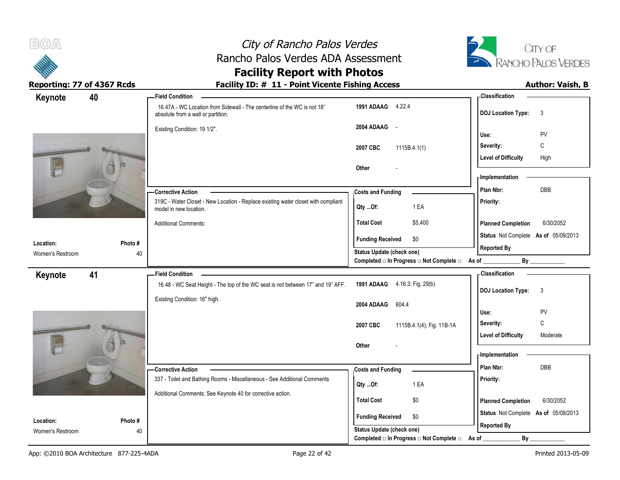



## **Facility Report with Photos**

| 40<br>Keynote    |         | -Field Condition                                                                                               |                                                  | - Classification                          |
|------------------|---------|----------------------------------------------------------------------------------------------------------------|--------------------------------------------------|-------------------------------------------|
|                  |         | 16.47A - WC Location from Sidewall - The centerline of the WC is not 18"<br>absolute from a wall or partition. | 1991 ADAAG 4.22.4                                | <b>DOJ Location Type:</b><br>3            |
|                  |         | Existing Condition: 19 1/2".                                                                                   | 2004 ADAAG -                                     | Use:<br>PV                                |
|                  |         |                                                                                                                | 2007 CBC<br>1115B.4.1(1)                         | $\mathsf{C}$<br>Severity:                 |
|                  |         |                                                                                                                |                                                  | <b>Level of Difficulty</b><br>High        |
|                  |         |                                                                                                                | Other                                            | - Implementation                          |
|                  |         | -Corrective Action                                                                                             | <b>Costs and Funding</b>                         | DBB<br>Plan Nbr:                          |
|                  |         | 319C - Water Closet - New Location - Replace existing water closet with compliant                              |                                                  | Priority:                                 |
|                  |         | model in new location.                                                                                         | Qty Of:<br>1 EA                                  |                                           |
|                  |         | <b>Additional Comments:</b>                                                                                    | <b>Total Cost</b><br>\$5,400                     | 6/30/2052<br><b>Planned Completion</b>    |
| Location:        | Photo # |                                                                                                                | \$0<br><b>Funding Received</b>                   | Status Not Complete As of 05/09/2013      |
| Women's Restroom | 40      |                                                                                                                | Status Update (check one)                        | <b>Reported By</b>                        |
|                  |         |                                                                                                                | Completed □ In Progress □ Not Complete □ As of _ |                                           |
| 41<br>Keynote    |         | <b>Field Condition</b>                                                                                         |                                                  | <b>Classification</b>                     |
|                  |         | 16.48 - WC Seat Height - The top of the WC seat is not between 17" and 19" AFF.                                | 1991 ADAAG 4.16.3; Fig. 29(b)                    | <b>DOJ Location Type:</b><br>$\mathbf{3}$ |
|                  |         | Existing Condition: 16" high.                                                                                  | 2004 ADAAG 604.4                                 |                                           |
|                  |         |                                                                                                                |                                                  | Use:<br>PV                                |
|                  |         |                                                                                                                | 2007 CBC<br>1115B.4.1(4); Fig. 11B-1A            | $\mathsf{C}$<br>Severity:                 |
|                  |         |                                                                                                                |                                                  | <b>Level of Difficulty</b><br>Moderate    |
|                  |         |                                                                                                                | Other                                            | - Implementation                          |
|                  |         | -Corrective Action                                                                                             | <b>Costs and Funding</b>                         | DBB<br>Plan Nbr:                          |
|                  |         | 337 - Toilet and Bathing Rooms - Miscellaneous - See Additional Comments                                       |                                                  | Priority:                                 |
|                  |         | Additional Comments: See Keynote 40 for corrective action.                                                     | Qty Of:<br>1 EA                                  |                                           |
|                  |         |                                                                                                                | \$0<br><b>Total Cost</b>                         | <b>Planned Completion</b><br>6/30/2052    |
| Location:        | Photo#  |                                                                                                                | <b>Funding Received</b><br>\$0                   | Status Not Complete As of 05/09/2013      |
| Women's Restroom | 40      |                                                                                                                | Status Update (check one)                        | <b>Reported By</b>                        |
|                  |         |                                                                                                                | Completed □ In Progress □ Not Complete □         | By<br>As of                               |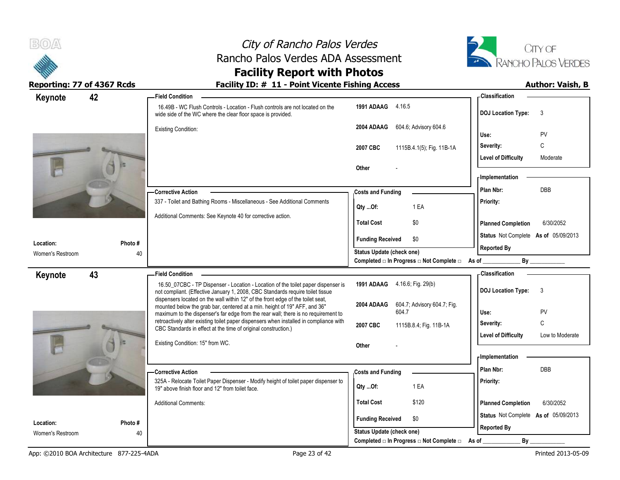



Reporting: 77 of 4367 Rcds **Facility ID: # 11 - Point Vicente Fishing Access** Author: Vaish, B

# **Facility Report with Photos**

| Keynote          | 42      | <b>Field Condition</b>                                                                                                                                                                                                                             |                                                                                      | - Classification                                           |
|------------------|---------|----------------------------------------------------------------------------------------------------------------------------------------------------------------------------------------------------------------------------------------------------|--------------------------------------------------------------------------------------|------------------------------------------------------------|
|                  |         | 16.49B - WC Flush Controls - Location - Flush controls are not located on the<br>wide side of the WC where the clear floor space is provided.                                                                                                      | 1991 ADAAG 4.16.5                                                                    | <b>DOJ Location Type:</b><br>3                             |
|                  |         | <b>Existing Condition:</b>                                                                                                                                                                                                                         | 604.6; Advisory 604.6<br>2004 ADAAG                                                  | Use:<br>PV                                                 |
|                  |         |                                                                                                                                                                                                                                                    | 1115B.4.1(5); Fig. 11B-1A<br>2007 CBC                                                | C<br>Severity:                                             |
|                  |         |                                                                                                                                                                                                                                                    | Other                                                                                | <b>Level of Difficulty</b><br>Moderate                     |
|                  |         |                                                                                                                                                                                                                                                    |                                                                                      | - Implementation                                           |
|                  |         | <b>Corrective Action</b>                                                                                                                                                                                                                           | <b>Costs and Funding</b>                                                             | <b>DBB</b><br>Plan Nbr:                                    |
|                  |         | 337 - Toilet and Bathing Rooms - Miscellaneous - See Additional Comments                                                                                                                                                                           | Qty Of:<br>1 EA                                                                      | Priority:                                                  |
|                  |         | Additional Comments: See Keynote 40 for corrective action.                                                                                                                                                                                         | <b>Total Cost</b><br>\$0                                                             | <b>Planned Completion</b><br>6/30/2052                     |
| Location:        | Photo # |                                                                                                                                                                                                                                                    | <b>Funding Received</b><br>\$0                                                       | Status Not Complete As of 05/09/2013                       |
| Women's Restroom | 40      |                                                                                                                                                                                                                                                    | <b>Status Update (check one)</b><br>Completed □ In Progress □ Not Complete □ As of _ | <b>Reported By</b>                                         |
| Keynote          | 43      | <b>Field Condition</b>                                                                                                                                                                                                                             |                                                                                      | - Classification                                           |
|                  |         | 16.50_07CBC - TP Dispenser - Location - Location of the toilet paper dispenser is<br>not compliant. (Effective January 1, 2008, CBC Standards require toilet tissue                                                                                | 1991 ADAAG 4.16.6; Fig. 29(b)                                                        | <b>DOJ Location Type:</b><br>3                             |
|                  |         | dispensers located on the wall within 12" of the front edge of the toilet seat,<br>mounted below the grab bar, centered at a min. height of 19" AFF, and 36"<br>maximum to the dispenser's far edge from the rear wall; there is no requirement to | 604.7; Advisory 604.7; Fig.<br>2004 ADAAG<br>604.7                                   | PV<br>Use:                                                 |
|                  |         | retroactively alter existing toilet paper dispensers when installed in compliance with<br>CBC Standards in effect at the time of original construction.)                                                                                           | 2007 CBC<br>1115B.8.4; Fig. 11B-1A                                                   | C<br>Severity:                                             |
|                  |         | Existing Condition: 15" from WC.                                                                                                                                                                                                                   | Other                                                                                | <b>Level of Difficulty</b><br>Low to Moderate              |
|                  |         |                                                                                                                                                                                                                                                    |                                                                                      | - Implementation                                           |
|                  |         | -Corrective Action                                                                                                                                                                                                                                 | <b>Costs and Funding</b>                                                             | Plan Nbr:<br>DBB                                           |
|                  |         | 325A - Relocate Toilet Paper Dispenser - Modify height of toilet paper dispenser to<br>19" above finish floor and 12" from toilet face.                                                                                                            | Qty Of:<br>1 EA                                                                      | Priority:                                                  |
|                  |         | <b>Additional Comments:</b>                                                                                                                                                                                                                        | <b>Total Cost</b><br>\$120                                                           | 6/30/2052<br><b>Planned Completion</b>                     |
| Location:        | Photo # |                                                                                                                                                                                                                                                    | <b>Funding Received</b><br>\$0                                                       | Status Not Complete As of 05/09/2013<br><b>Reported By</b> |
|                  |         |                                                                                                                                                                                                                                                    |                                                                                      |                                                            |
| Women's Restroom | 40      |                                                                                                                                                                                                                                                    | <b>Status Update (check one)</b><br>Completed □ In Progress □ Not Complete □         | By<br>As of                                                |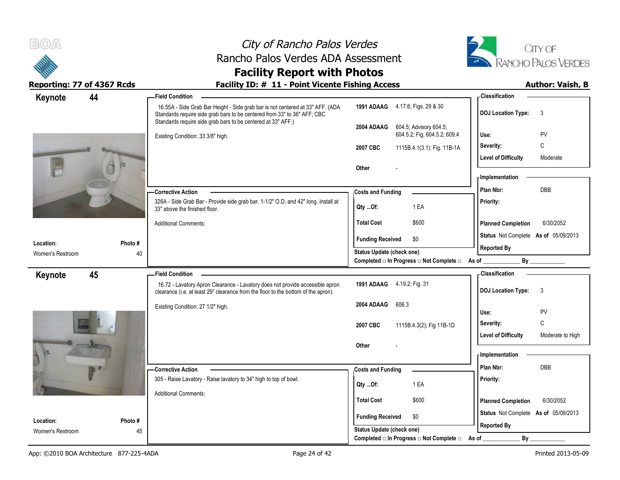



## **Facility Report with Photos**

| Keynote          | 44     | - Field Condition                                                                                                                                                                                                          |                                                                             | <b>Classification</b>                                                      |
|------------------|--------|----------------------------------------------------------------------------------------------------------------------------------------------------------------------------------------------------------------------------|-----------------------------------------------------------------------------|----------------------------------------------------------------------------|
|                  |        | 16.55A - Side Grab Bar Height - Side grab bar is not centered at 33" AFF. (ADA<br>Standards require side grab bars to be centered from 33" to 36" AFF; CBC<br>Standards require side grab bars to be centered at 33" AFF.) | 1991 ADAAG 4.17.6; Figs. 29 & 30                                            | <b>DOJ Location Type:</b><br>3                                             |
|                  |        | Existing Condition: 33 3/8" high.                                                                                                                                                                                          | 2004 ADAAG<br>604.5; Advisory 604.5;<br>604.5.2; Fig. 604.5.2; 609.4        | PV<br>Use:                                                                 |
|                  |        |                                                                                                                                                                                                                            | 2007 CBC<br>1115B.4.1(3.1); Fig. 11B-1A                                     | C<br>Severity:                                                             |
|                  |        |                                                                                                                                                                                                                            | Other                                                                       | <b>Level of Difficulty</b><br>Moderate                                     |
|                  |        |                                                                                                                                                                                                                            |                                                                             | - Implementation                                                           |
|                  |        | - Corrective Action                                                                                                                                                                                                        | <b>Costs and Funding</b>                                                    | Plan Nbr:<br>DBB                                                           |
|                  |        | 326A - Side Grab Bar - Provide side grab bar. 1-1/2" O.D. and 42" long. Install at<br>33" above the finished floor.                                                                                                        | 1 EA<br>Qty Of:                                                             | Priority:                                                                  |
|                  |        | <b>Additional Comments:</b>                                                                                                                                                                                                | \$600<br><b>Total Cost</b>                                                  | <b>Planned Completion</b><br>6/30/2052                                     |
| Location:        | Photo# |                                                                                                                                                                                                                            | <b>Funding Received</b><br>\$0                                              | Status Not Complete As of 05/09/2013<br><b>Reported By</b>                 |
| Women's Restroom | 40     |                                                                                                                                                                                                                            | Status Update (check one)<br>Completed □ In Progress □ Not Complete □ As of | By                                                                         |
|                  |        |                                                                                                                                                                                                                            |                                                                             | <b>Classification</b>                                                      |
| Keynote          | 45     | <b>Field Condition</b><br>16.72 - Lavatory Apron Clearance - Lavatory does not provide accessible apron<br>clearance (i.e. at least 29" clearance from the floor to the bottom of the apron).                              | 1991 ADAAG 4.19.2; Fig. 31                                                  | <b>DOJ Location Type:</b><br>3                                             |
|                  |        | Existing Condition: 27 1/2" high.                                                                                                                                                                                          | 2004 ADAAG<br>606.3                                                         | PV<br>Use:                                                                 |
|                  |        |                                                                                                                                                                                                                            | 2007 CBC<br>1115B.4.3(2); Fig 11B-1D                                        | $\mathsf C$<br>Severity:<br><b>Level of Difficulty</b><br>Moderate to High |
|                  |        |                                                                                                                                                                                                                            | Other                                                                       | - Implementation                                                           |
|                  |        |                                                                                                                                                                                                                            |                                                                             | Plan Nbr:<br><b>DBB</b>                                                    |
|                  |        | -Corrective Action<br>305 - Raise Lavatory - Raise lavatory to 34" high to top of bowl.                                                                                                                                    | <b>Costs and Funding</b>                                                    | Priority:                                                                  |
|                  |        |                                                                                                                                                                                                                            | 1 EA<br>Qty Of:                                                             |                                                                            |
|                  |        | <b>Additional Comments:</b>                                                                                                                                                                                                | <b>Total Cost</b><br>\$600                                                  | <b>Planned Completion</b><br>6/30/2052                                     |
|                  |        |                                                                                                                                                                                                                            |                                                                             |                                                                            |
| Location:        | Photo# |                                                                                                                                                                                                                            | <b>Funding Received</b><br>\$0                                              | Status Not Complete As of 05/09/2013                                       |
| Women's Restroom | 45     |                                                                                                                                                                                                                            | Status Update (check one)<br>Completed □ In Progress □ Not Complete □       | <b>Reported By</b><br>By<br>As of                                          |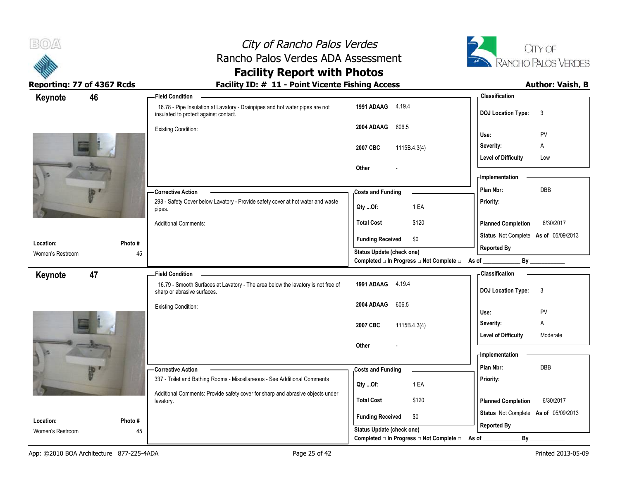



### **Facility Report with Photos** Reporting: 77 of 4367 Rcds **Facility ID: # 11 - Point Vicente Fishing Access** Author: Vaish, B

| 46<br>Keynote                 |               | -Field Condition                                                                                                      |                                                             | - Classification                                           |
|-------------------------------|---------------|-----------------------------------------------------------------------------------------------------------------------|-------------------------------------------------------------|------------------------------------------------------------|
|                               |               | 16.78 - Pipe Insulation at Lavatory - Drainpipes and hot water pipes are not<br>insulated to protect against contact. | 1991 ADAAG 4.19.4                                           | <b>DOJ Location Type:</b><br>3                             |
|                               |               | <b>Existing Condition:</b>                                                                                            | 2004 ADAAG<br>606.5                                         | PV<br>Use:                                                 |
|                               |               |                                                                                                                       | 2007 CBC<br>1115B.4.3(4)                                    | Severity:<br>Α                                             |
|                               |               |                                                                                                                       |                                                             | <b>Level of Difficulty</b><br>Low                          |
|                               |               |                                                                                                                       | Other                                                       |                                                            |
|                               |               |                                                                                                                       |                                                             | - Implementation                                           |
| ity v                         |               | - Corrective Action                                                                                                   | <b>Costs and Funding</b>                                    | DBB<br>Plan Nbr:                                           |
|                               |               | 298 - Safety Cover below Lavatory - Provide safety cover at hot water and waste<br>pipes.                             | 1 EA<br>Qty Of:                                             | Priority:                                                  |
|                               |               | <b>Additional Comments:</b>                                                                                           | <b>Total Cost</b><br>\$120                                  | <b>Planned Completion</b><br>6/30/2017                     |
|                               |               |                                                                                                                       | <b>Funding Received</b><br>\$0                              | Status Not Complete As of 05/09/2013                       |
| Location:<br>Women's Restroom | Photo #<br>45 |                                                                                                                       | Status Update (check one)                                   | <b>Reported By</b>                                         |
|                               |               |                                                                                                                       | Completed □ In Progress □ Not Complete □ As of ________     | By                                                         |
| 47<br>Keynote                 |               | <b>Field Condition -</b>                                                                                              |                                                             | - Classification                                           |
|                               |               | 16.79 - Smooth Surfaces at Lavatory - The area below the lavatory is not free of<br>sharp or abrasive surfaces.       | 1991 ADAAG 4.19.4                                           | <b>DOJ Location Type:</b><br>$\mathbf{3}$                  |
|                               |               | <b>Existing Condition:</b>                                                                                            | 2004 ADAAG<br>606.5                                         | PV                                                         |
|                               |               |                                                                                                                       |                                                             | Use:<br>Severity:<br>Α                                     |
|                               |               |                                                                                                                       | 2007 CBC<br>1115B.4.3(4)                                    | <b>Level of Difficulty</b><br>Moderate                     |
|                               |               |                                                                                                                       | Other                                                       |                                                            |
|                               |               |                                                                                                                       |                                                             | <b>Implementation</b>                                      |
| ity F                         |               | -Corrective Action                                                                                                    | <b>Costs and Funding</b>                                    | Plan Nbr:<br>DBB                                           |
|                               |               | 337 - Toilet and Bathing Rooms - Miscellaneous - See Additional Comments                                              | 1 EA<br>Qty Of:                                             | Priority:                                                  |
|                               |               | Additional Comments: Provide safety cover for sharp and abrasive objects under                                        | <b>Total Cost</b><br>\$120                                  | <b>Planned Completion</b><br>6/30/2017                     |
|                               |               |                                                                                                                       |                                                             |                                                            |
|                               |               | lavatory.                                                                                                             |                                                             |                                                            |
| Location:<br>Women's Restroom | Photo #<br>45 |                                                                                                                       | <b>Funding Received</b><br>\$0<br>Status Update (check one) | Status Not Complete As of 05/09/2013<br><b>Reported By</b> |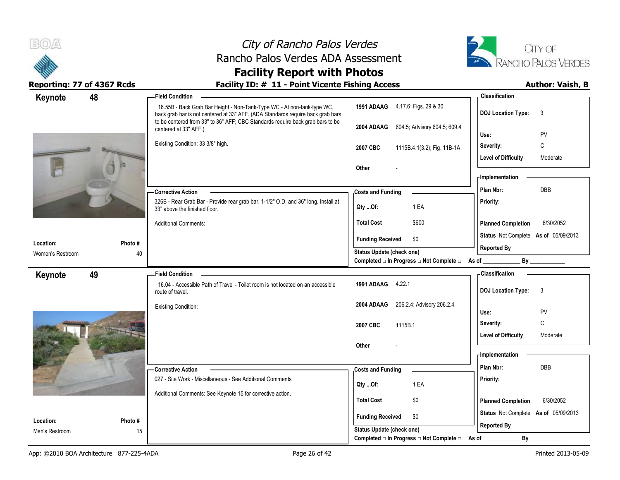| B(0)                       |         | City of Rancho Palos Verdes                                                                                                                                                                                                                  |                                                                             |                                      | CITY OF                    |
|----------------------------|---------|----------------------------------------------------------------------------------------------------------------------------------------------------------------------------------------------------------------------------------------------|-----------------------------------------------------------------------------|--------------------------------------|----------------------------|
|                            |         | Rancho Palos Verdes ADA Assessment                                                                                                                                                                                                           |                                                                             |                                      | <b>RANCHO PALOS VERDES</b> |
|                            |         | <b>Facility Report with Photos</b>                                                                                                                                                                                                           |                                                                             |                                      |                            |
| Reporting: 77 of 4367 Rcds |         | Facility ID: # 11 - Point Vicente Fishing Access                                                                                                                                                                                             |                                                                             |                                      | <b>Author: Vaish, B</b>    |
| 48<br>Keynote              |         | <b>Field Condition</b>                                                                                                                                                                                                                       |                                                                             | <b>Classification</b>                |                            |
|                            |         | 16.55B - Back Grab Bar Height - Non-Tank-Type WC - At non-tank-type WC,<br>back grab bar is not centered at 33" AFF. (ADA Standards require back grab bars<br>to be centered from 33" to 36" AFF; CBC Standards require back grab bars to be | 1991 ADAAG 4.17.6; Figs. 29 & 30                                            | DOJ Location Type: 3                 |                            |
|                            |         | centered at 33" AFF.)                                                                                                                                                                                                                        | 2004 ADAAG<br>604.5; Advisory 604.5; 609.4                                  | Use:                                 | PV                         |
|                            |         | Existing Condition: 33 3/8" high.                                                                                                                                                                                                            |                                                                             | Severity:                            | C                          |
|                            |         |                                                                                                                                                                                                                                              | 1115B.4.1(3.2); Fig. 11B-1A<br>2007 CBC                                     | <b>Level of Difficulty</b>           | Moderate                   |
|                            |         |                                                                                                                                                                                                                                              | Other                                                                       | - Implementation                     |                            |
|                            |         | -Corrective Action                                                                                                                                                                                                                           | <b>Costs and Funding</b>                                                    | Plan Nbr:                            | DBB                        |
|                            |         | 326B - Rear Grab Bar - Provide rear grab bar. 1-1/2" O.D. and 36" long. Install at<br>33" above the finished floor.                                                                                                                          | 1 EA<br>Qty Of:                                                             | <b>Priority:</b>                     |                            |
|                            |         | <b>Additional Comments:</b>                                                                                                                                                                                                                  | \$600<br><b>Total Cost</b>                                                  | <b>Planned Completion</b>            | 6/30/2052                  |
| Location:                  | Photo # |                                                                                                                                                                                                                                              | <b>Funding Received</b><br>\$0                                              | Status Not Complete As of 05/09/2013 |                            |
| Women's Restroom           | 40      |                                                                                                                                                                                                                                              | Status Update (check one)<br>Completed □ In Progress □ Not Complete □ As of | <b>Reported By</b><br>By             |                            |
|                            |         |                                                                                                                                                                                                                                              |                                                                             | <b>Classification</b>                |                            |
| 49<br>Keynote              |         | <b>Field Condition</b><br>16.04 - Accessible Path of Travel - Toilet room is not located on an accessible<br>route of travel.                                                                                                                | 1991 ADAAG 4.22.1                                                           | DOJ Location Type: 3                 |                            |
|                            |         | <b>Existing Condition:</b>                                                                                                                                                                                                                   | 2004 ADAAG 206.2.4; Advisory 206.2.4                                        |                                      |                            |
|                            |         |                                                                                                                                                                                                                                              |                                                                             | Use:                                 | PV                         |
|                            |         |                                                                                                                                                                                                                                              | 2007 CBC<br>1115B.1                                                         | Severity:                            | C                          |
|                            |         |                                                                                                                                                                                                                                              | Other                                                                       | <b>Level of Difficulty</b>           | Moderate                   |
|                            |         |                                                                                                                                                                                                                                              |                                                                             | - Implementation                     |                            |
|                            |         | -Corrective Action                                                                                                                                                                                                                           | <b>Costs and Funding</b>                                                    | Plan Nbr:                            | DBB                        |
|                            |         | 027 - Site Work - Miscellaneous - See Additional Comments                                                                                                                                                                                    | 1 EA<br>Qty Of:                                                             | <b>Priority:</b>                     |                            |
|                            |         | Additional Comments: See Keynote 15 for corrective action.                                                                                                                                                                                   | \$0<br><b>Total Cost</b>                                                    | <b>Planned Completion</b>            | 6/30/2052                  |
| Location:                  | Photo#  |                                                                                                                                                                                                                                              | \$0<br><b>Funding Received</b>                                              | Status Not Complete As of 05/09/2013 |                            |
| Men's Restroom             | 15      |                                                                                                                                                                                                                                              | Status Update (check one)                                                   | <b>Reported By</b>                   |                            |
|                            |         |                                                                                                                                                                                                                                              | Completed □ In Progress □ Not Complete □ As of                              | By                                   |                            |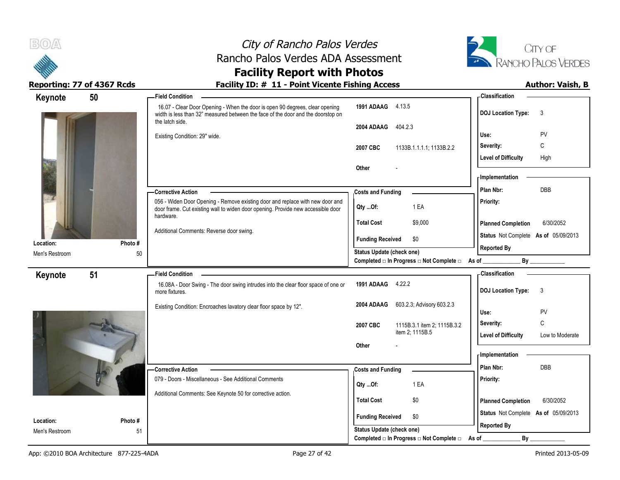



Reporting: 77 of 4367 Rcds **Facility ID: # 11 - Point Vicente Fishing Access** Author: Vaish, B

# **Facility Report with Photos**

| Keynote                     | 50            | <b>Field Condition</b>                                                                                                                                                              |                                                                  | <b>Classification</b>                                      |
|-----------------------------|---------------|-------------------------------------------------------------------------------------------------------------------------------------------------------------------------------------|------------------------------------------------------------------|------------------------------------------------------------|
|                             |               | 16.07 - Clear Door Opening - When the door is open 90 degrees, clear opening<br>width is less than 32" measured between the face of the door and the doorstop on<br>the latch side. | 1991 ADAAG 4.13.5                                                | <b>DOJ Location Type:</b><br>3                             |
|                             |               |                                                                                                                                                                                     | 2004 ADAAG<br>404.2.3                                            |                                                            |
|                             |               | Existing Condition: 29" wide.                                                                                                                                                       |                                                                  | PV<br>Use:<br>C<br>Severity:                               |
|                             |               |                                                                                                                                                                                     | 2007 CBC<br>1133B.1.1.1.1; 1133B.2.2                             | <b>Level of Difficulty</b><br>High                         |
|                             |               |                                                                                                                                                                                     | Other                                                            |                                                            |
|                             |               |                                                                                                                                                                                     |                                                                  | - Implementation                                           |
|                             |               | - Corrective Action                                                                                                                                                                 | <b>Costs and Funding</b>                                         | <b>DBB</b><br>Plan Nbr:                                    |
|                             |               | 056 - Widen Door Opening - Remove existing door and replace with new door and<br>door frame. Cut existing wall to widen door opening. Provide new accessible door<br>hardware.      | 1 EA<br>Qty Of:                                                  | Priority:                                                  |
|                             |               |                                                                                                                                                                                     | <b>Total Cost</b><br>\$9,000                                     | <b>Planned Completion</b><br>6/30/2052                     |
|                             |               | Additional Comments: Reverse door swing.                                                                                                                                            | <b>Funding Received</b><br>\$0                                   | Status Not Complete As of 05/09/2013                       |
| Location:<br>Men's Restroom | Photo #<br>50 |                                                                                                                                                                                     | Status Update (check one)                                        | <b>Reported By</b>                                         |
|                             |               |                                                                                                                                                                                     | Completed □ In Progress □ Not Complete □ As of _                 | By                                                         |
| Keynote                     | 51            | <b>Field Condition</b>                                                                                                                                                              |                                                                  | <b>Classification</b>                                      |
|                             |               | 16.08A - Door Swing - The door swing intrudes into the clear floor space of one or<br>more fixtures.                                                                                | 1991 ADAAG 4.22.2                                                | <b>DOJ Location Type:</b><br>3                             |
|                             |               | Existing Condition: Encroaches lavatory clear floor space by 12".                                                                                                                   | 2004 ADAAG<br>603.2.3; Advisory 603.2.3                          | PV<br>Use:                                                 |
|                             |               |                                                                                                                                                                                     | 2007 CBC<br>1115B.3.1 item 2, 1115B.3.2                          | C<br>Severity:                                             |
|                             |               |                                                                                                                                                                                     | item 2; 1115B.5                                                  | <b>Level of Difficulty</b><br>Low to Moderate              |
|                             |               |                                                                                                                                                                                     | Other                                                            | <b>Implementation</b>                                      |
|                             |               |                                                                                                                                                                                     |                                                                  | Plan Nbr:<br><b>DBB</b>                                    |
|                             |               | -Corrective Action<br>079 - Doors - Miscellaneous - See Additional Comments                                                                                                         | <b>Costs and Funding</b>                                         | Priority:                                                  |
|                             |               | Additional Comments: See Keynote 50 for corrective action.                                                                                                                          | 1 EA<br>Qty Of:                                                  |                                                            |
|                             |               |                                                                                                                                                                                     | \$0<br><b>Total Cost</b>                                         | <b>Planned Completion</b><br>6/30/2052                     |
| Location:                   | Photo#        |                                                                                                                                                                                     | <b>Funding Received</b><br>\$0                                   | Status Not Complete As of 05/09/2013<br><b>Reported By</b> |
| Men's Restroom              | 51            |                                                                                                                                                                                     | Status Update (check one)                                        |                                                            |
|                             |               |                                                                                                                                                                                     | Completed $\square$ In Progress $\square$ Not Complete $\square$ | $By_$<br>As of                                             |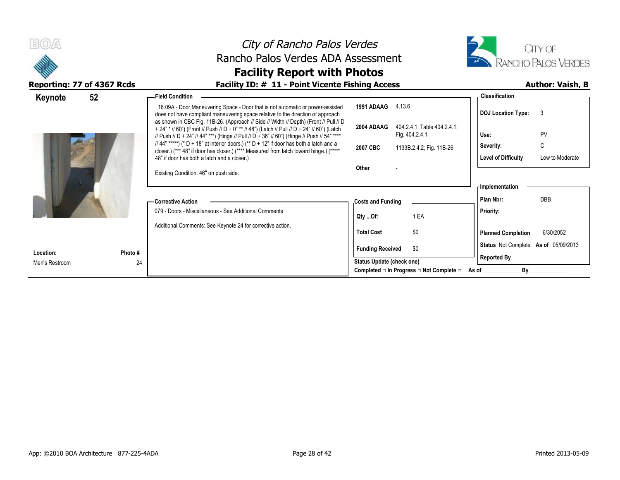|                                              | City of Rancho Palos Verdes                                                                                                                                                                                                                                                                                                                                                                                                                                                                                                                                                                                                                                                                                                                                |                                                                                                                                          | CITY OF                                                                                                                                                |                         |
|----------------------------------------------|------------------------------------------------------------------------------------------------------------------------------------------------------------------------------------------------------------------------------------------------------------------------------------------------------------------------------------------------------------------------------------------------------------------------------------------------------------------------------------------------------------------------------------------------------------------------------------------------------------------------------------------------------------------------------------------------------------------------------------------------------------|------------------------------------------------------------------------------------------------------------------------------------------|--------------------------------------------------------------------------------------------------------------------------------------------------------|-------------------------|
|                                              | Rancho Palos Verdes ADA Assessment                                                                                                                                                                                                                                                                                                                                                                                                                                                                                                                                                                                                                                                                                                                         |                                                                                                                                          | RANCHO PALOS VERDES                                                                                                                                    |                         |
|                                              | <b>Facility Report with Photos</b>                                                                                                                                                                                                                                                                                                                                                                                                                                                                                                                                                                                                                                                                                                                         |                                                                                                                                          |                                                                                                                                                        |                         |
| Reporting: 77 of 4367 Rcds                   | Facility ID: # 11 - Point Vicente Fishing Access                                                                                                                                                                                                                                                                                                                                                                                                                                                                                                                                                                                                                                                                                                           |                                                                                                                                          |                                                                                                                                                        | <b>Author: Vaish, B</b> |
| 52<br>Keynote                                | -Field Condition<br>16.09A - Door Maneuvering Space - Door that is not automatic or power-assisted<br>does not have compliant maneuvering space relative to the direction of approach<br>as shown in CBC Fig. 11B-26. (Approach // Side // Width // Depth) (Front // Pull // D<br>+ 24" * // 60") (Front // Push // D + 0" ** // 48") (Latch // Pull // D + 24" // 60") (Latch<br>// Push // D + 24" // 44" ***) (Hinge // Pull // D + 36" // 60") (Hinge // Push // 54" ****<br>// 44" *****) (* D + 18" at interior doors.) (** D + 12" if door has both a latch and a<br>closer.) (*** 48" if door has closer.) (**** Measured from latch toward hinge.) (*****<br>48" if door has both a latch and a closer.)<br>Existing Condition: 46" on push side. | <b>1991 ADAAG</b> 4.13.6<br>2004 ADAAG<br>404.2.4.1; Table 404.2.4.1;<br>Fig. 404.2.4.1<br>2007 CBC<br>1133B.2.4.2, Fig. 11B-26<br>Other | <b>Classification</b><br><b>DOJ Location Type:</b><br>-3<br>PV<br>Use:<br>C<br>Severity:<br><b>Level of Difficulty</b>                                 | Low to Moderate         |
|                                              | -Corrective Action<br>079 - Doors - Miscellaneous - See Additional Comments<br>Additional Comments: See Keynote 24 for corrective action.                                                                                                                                                                                                                                                                                                                                                                                                                                                                                                                                                                                                                  | <b>Costs and Funding</b><br>1 EA<br>QtyOf:<br>\$0<br><b>Total Cost</b>                                                                   | <b>Implementation</b><br><b>DBB</b><br>Plan Nbr:<br><b>Priority:</b><br><b>Planned Completion</b><br>6/30/2052<br>Status Not Complete As of 05/09/2013 |                         |
| Photo #<br>Location:<br>24<br>Men's Restroom |                                                                                                                                                                                                                                                                                                                                                                                                                                                                                                                                                                                                                                                                                                                                                            | <b>Funding Received</b><br>\$0<br>Status Update (check one)<br>Completed $\square$ In Progress $\square$ Not Complete $\square$ As of    | <b>Reported By</b><br>By                                                                                                                               |                         |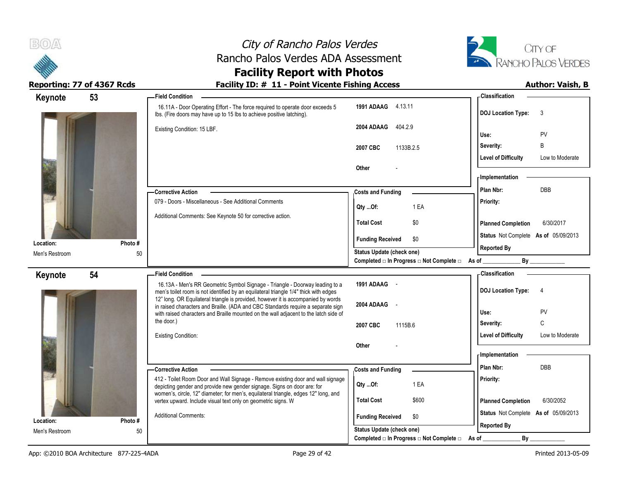



### **Facility Report with Photos** Reporting: 77 of 4367 Rcds **Facility ID: # 11 - Point Vicente Fishing Access** Author: Vaish, B

| Keynote                     | 53           | <b>Field Condition</b>                                                                                                                                                |                                                                              | <b>Classification</b>                         |
|-----------------------------|--------------|-----------------------------------------------------------------------------------------------------------------------------------------------------------------------|------------------------------------------------------------------------------|-----------------------------------------------|
|                             |              | 16.11A - Door Operating Effort - The force required to operate door exceeds 5<br>Ibs. (Fire doors may have up to 15 lbs to achieve positive latching).                | 1991 ADAAG 4.13.11                                                           | <b>DOJ Location Type:</b><br>3                |
|                             |              | Existing Condition: 15 LBF.                                                                                                                                           | 2004 ADAAG<br>404.2.9                                                        | PV<br>Use:                                    |
|                             |              |                                                                                                                                                                       | 2007 CBC<br>1133B.2.5                                                        | B<br>Severity:                                |
|                             |              |                                                                                                                                                                       |                                                                              | <b>Level of Difficulty</b><br>Low to Moderate |
|                             |              |                                                                                                                                                                       | <b>Other</b>                                                                 |                                               |
|                             |              |                                                                                                                                                                       |                                                                              | - Implementation -                            |
|                             |              | - Corrective Action                                                                                                                                                   | <b>Costs and Funding</b>                                                     | Plan Nbr:<br><b>DBB</b>                       |
|                             |              | 079 - Doors - Miscellaneous - See Additional Comments                                                                                                                 | 1 EA<br>$Qty$ Of:                                                            | Priority:                                     |
|                             |              | Additional Comments: See Keynote 50 for corrective action.                                                                                                            | <b>Total Cost</b><br>\$0                                                     | <b>Planned Completion</b><br>6/30/2017        |
|                             |              |                                                                                                                                                                       | <b>Funding Received</b><br>\$0                                               | Status Not Complete As of 05/09/2013          |
| Location:<br>Men's Restroom | Photo#<br>50 |                                                                                                                                                                       | Status Update (check one)                                                    | <b>Reported By</b>                            |
|                             |              |                                                                                                                                                                       | Completed □ In Progress □ Not Complete □ As of ________                      | By                                            |
| Keynote                     | 54           | <b>Field Condition</b>                                                                                                                                                |                                                                              | <b>Classification</b>                         |
|                             |              | 16.13A - Men's RR Geometric Symbol Signage - Triangle - Doorway leading to a<br>men's toilet room is not identified by an equilateral triangle 1/4" thick with edges  | 1991 ADAAG -                                                                 | <b>DOJ Location Type:</b><br>$\overline{4}$   |
|                             |              |                                                                                                                                                                       |                                                                              |                                               |
|                             |              | 12" long. OR Equilateral triangle is provided, however it is accompanied by words<br>in raised characters and Braille. (ADA and CBC Standards require a separate sign | 2004 ADAAG -                                                                 |                                               |
|                             |              | with raised characters and Braille mounted on the wall adjacent to the latch side of                                                                                  |                                                                              | PV<br>Use:                                    |
|                             |              | the door.)                                                                                                                                                            | 2007 CBC<br>1115B.6                                                          | C<br>Severity:                                |
|                             |              | <b>Existing Condition:</b>                                                                                                                                            |                                                                              | <b>Level of Difficulty</b><br>Low to Moderate |
|                             |              |                                                                                                                                                                       | <b>Other</b>                                                                 | - Implementation                              |
|                             |              |                                                                                                                                                                       |                                                                              | Plan Nbr:<br><b>DBB</b>                       |
|                             |              | - Corrective Action                                                                                                                                                   | <b>Costs and Funding</b>                                                     |                                               |
|                             |              | 412 - Toilet Room Door and Wall Signage - Remove existing door and wall signage<br>depicting gender and provide new gender signage. Signs on door are: for            | 1 EA<br>Qty Of:                                                              | Priority:                                     |
|                             |              | women's, circle, 12" diameter; for men's, equilateral triangle, edges 12" long, and<br>vertex upward. Include visual text only on geometric signs. W                  | <b>Total Cost</b><br>\$600                                                   | <b>Planned Completion</b><br>6/30/2052        |
| Location:                   | Photo#       | <b>Additional Comments:</b>                                                                                                                                           | <b>Funding Received</b><br>\$0                                               | Status Not Complete As of 05/09/2013          |
| Men's Restroom              | 50           |                                                                                                                                                                       | <b>Status Update (check one)</b><br>Completed □ In Progress □ Not Complete □ | <b>Reported By</b><br>By                      |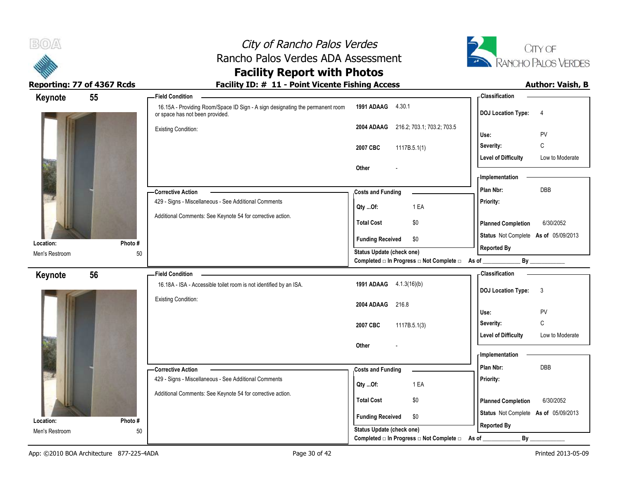



### **Facility Report with Photos** Reporting: 77 of 4367 Rcds **Facility ID: # 11 - Point Vicente Fishing Access** Author: Vaish, B

| 55<br>Keynote  |        | - Field Condition                                                                                                |                                                  | - Classification                              |
|----------------|--------|------------------------------------------------------------------------------------------------------------------|--------------------------------------------------|-----------------------------------------------|
|                |        | 16.15A - Providing Room/Space ID Sign - A sign designating the permanent room<br>or space has not been provided. | 1991 ADAAG 4.30.1                                | <b>DOJ</b> Location Type:<br>$\overline{4}$   |
|                |        | <b>Existing Condition:</b>                                                                                       | 216.2, 703.1, 703.2, 703.5<br>2004 ADAAG         |                                               |
|                |        |                                                                                                                  |                                                  | PV<br>Use:                                    |
|                |        |                                                                                                                  | 2007 CBC<br>1117B.5.1(1)                         | C<br>Severity:                                |
|                |        |                                                                                                                  |                                                  | <b>Level of Difficulty</b><br>Low to Moderate |
|                |        |                                                                                                                  | Other                                            |                                               |
|                |        |                                                                                                                  |                                                  | - Implementation                              |
|                |        | - Corrective Action                                                                                              | <b>Costs and Funding</b>                         | DBB<br>Plan Nbr:                              |
|                |        | 429 - Signs - Miscellaneous - See Additional Comments                                                            | 1 EA<br>Qty Of:                                  | Priority:                                     |
|                |        | Additional Comments: See Keynote 54 for corrective action.                                                       | <b>Total Cost</b><br>\$0                         | 6/30/2052<br><b>Planned Completion</b>        |
| Location:      | Photo# |                                                                                                                  | <b>Funding Received</b><br>\$0                   | Status Not Complete As of 05/09/2013          |
| Men's Restroom | 50     |                                                                                                                  | Status Update (check one)                        | <b>Reported By</b>                            |
|                |        |                                                                                                                  | Completed □ In Progress □ Not Complete □ As of _ | By                                            |
| 56<br>Keynote  |        | <b>Field Condition</b>                                                                                           |                                                  | <b>Classification</b>                         |
|                |        | 16.18A - ISA - Accessible toilet room is not identified by an ISA.                                               | 1991 ADAAG 4.1.3(16)(b)                          | $\mathbf{3}$<br><b>DOJ Location Type:</b>     |
|                |        | <b>Existing Condition:</b>                                                                                       |                                                  |                                               |
|                |        |                                                                                                                  | 2004 ADAAG 216.8                                 | PV<br>Use:                                    |
|                |        |                                                                                                                  | 2007 CBC<br>1117B.5.1(3)                         | C<br>Severity:                                |
|                |        |                                                                                                                  |                                                  | <b>Level of Difficulty</b><br>Low to Moderate |
|                |        |                                                                                                                  | Other                                            |                                               |
|                |        |                                                                                                                  |                                                  | - Implementation                              |
|                |        | - Corrective Action                                                                                              | <b>Costs and Funding</b>                         | Plan Nbr:<br>DBB                              |
|                |        | 429 - Signs - Miscellaneous - See Additional Comments                                                            | 1 EA                                             | Priority:                                     |
|                |        | Additional Comments: See Keynote 54 for corrective action.                                                       | $Qty$ Of:                                        |                                               |
|                |        |                                                                                                                  | <b>Total Cost</b><br>$$0$$                       | <b>Planned Completion</b><br>6/30/2052        |
|                |        |                                                                                                                  | <b>Funding Received</b><br>\$0                   | Status Not Complete As of 05/09/2013          |
| Location:      | Photo# |                                                                                                                  | Status Update (check one)                        | <b>Reported By</b>                            |
| Men's Restroom | 50     |                                                                                                                  | Completed □ In Progress □ Not Complete □         | $By$ $\_\$<br>As of                           |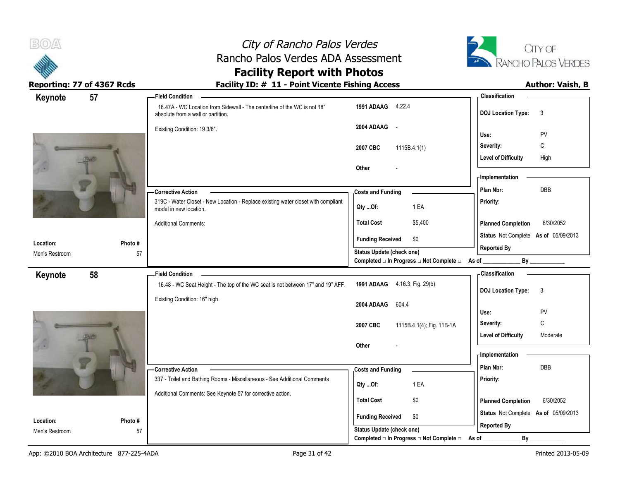



# **Facility Report with Photos**

| 57<br>Keynote               |              | -Field Condition                                                                                               |                                                  | <b>Classification</b>                     |
|-----------------------------|--------------|----------------------------------------------------------------------------------------------------------------|--------------------------------------------------|-------------------------------------------|
|                             |              | 16.47A - WC Location from Sidewall - The centerline of the WC is not 18"<br>absolute from a wall or partition. | 1991 ADAAG 4.22.4                                | <b>DOJ Location Type:</b><br>3            |
|                             |              | Existing Condition: 19 3/8".                                                                                   | 2004 ADAAG<br>$\sim$ $-$                         |                                           |
|                             |              |                                                                                                                |                                                  | PV<br>Use:<br>С<br>Severity:              |
|                             |              |                                                                                                                | 2007 CBC<br>1115B.4.1(1)                         | <b>Level of Difficulty</b><br>High        |
|                             |              |                                                                                                                | Other                                            |                                           |
|                             |              |                                                                                                                |                                                  | - Implementation                          |
|                             |              | <b>Corrective Action</b>                                                                                       | <b>Costs and Funding</b>                         | DBB<br>Plan Nbr:                          |
|                             |              | 319C - Water Closet - New Location - Replace existing water closet with compliant<br>model in new location.    | 1 EA<br>Qty Of:                                  | Priority:                                 |
|                             |              | <b>Additional Comments:</b>                                                                                    | <b>Total Cost</b><br>\$5,400                     | 6/30/2052<br><b>Planned Completion</b>    |
|                             |              |                                                                                                                | <b>Funding Received</b><br>\$0                   | Status Not Complete As of 05/09/2013      |
| Location:<br>Men's Restroom | Photo#<br>57 |                                                                                                                | Status Update (check one)                        | <b>Reported By</b>                        |
|                             |              |                                                                                                                | Completed □ In Progress □ Not Complete □ As of _ | $By$ <sub>___</sub>                       |
| 58<br>Keynote               |              | <b>Field Condition</b>                                                                                         |                                                  | - Classification                          |
|                             |              | 16.48 - WC Seat Height - The top of the WC seat is not between 17" and 19" AFF.                                | 1991 ADAAG 4.16.3; Fig. 29(b)                    | <b>DOJ Location Type:</b><br>$\mathbf{3}$ |
|                             |              | Existing Condition: 16" high.                                                                                  | 2004 ADAAG<br>604.4                              |                                           |
|                             |              |                                                                                                                |                                                  | Use:<br>PV                                |
|                             |              |                                                                                                                | 2007 CBC<br>1115B.4.1(4); Fig. 11B-1A            | $\mathbb C$<br>Severity:                  |
|                             |              |                                                                                                                |                                                  | <b>Level of Difficulty</b><br>Moderate    |
|                             |              |                                                                                                                | Other                                            | - Implementation                          |
|                             |              |                                                                                                                |                                                  | Plan Nbr:<br>DBB                          |
|                             |              | - Corrective Action<br>337 - Toilet and Bathing Rooms - Miscellaneous - See Additional Comments                | <b>Costs and Funding</b>                         | Priority:                                 |
|                             |              |                                                                                                                | 1 EA<br>Qty Of:                                  |                                           |
|                             |              | Additional Comments: See Keynote 57 for corrective action.                                                     | <b>Total Cost</b><br>\$0                         | 6/30/2052<br><b>Planned Completion</b>    |
| Location:                   | Photo #      |                                                                                                                | <b>Funding Received</b><br>\$0                   | Status Not Complete As of 05/09/2013      |
| Men's Restroom              | 57           |                                                                                                                | <b>Status Update (check one)</b>                 | <b>Reported By</b>                        |
|                             |              |                                                                                                                | Completed □ In Progress □ Not Complete □         | By<br>As of                               |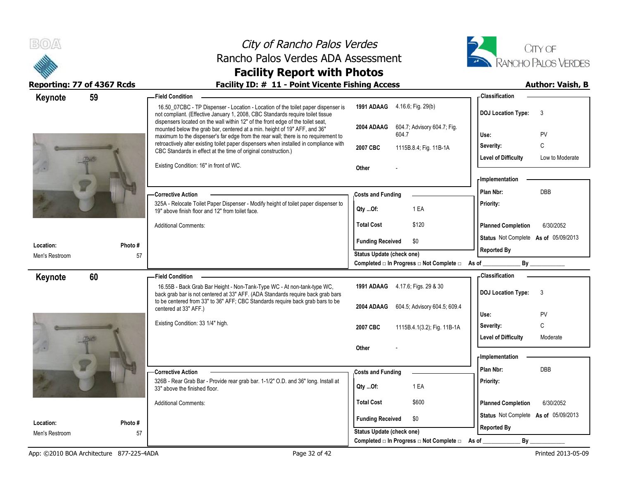



# **Facility Report with Photos**

| 59<br>Keynote  |        | <b>Field Condition</b>                                                                                                                                                                                                                                 |                                                                              | - Classification                       |
|----------------|--------|--------------------------------------------------------------------------------------------------------------------------------------------------------------------------------------------------------------------------------------------------------|------------------------------------------------------------------------------|----------------------------------------|
|                |        | 16.50_07CBC - TP Dispenser - Location - Location of the toilet paper dispenser is<br>not compliant. (Effective January 1, 2008, CBC Standards require toilet tissue<br>dispensers located on the wall within 12" of the front edge of the toilet seat, | 1991 ADAAG 4.16.6; Fig. 29(b)                                                | <b>DOJ Location Type:</b><br>3         |
|                |        | mounted below the grab bar, centered at a min. height of 19" AFF, and 36"<br>maximum to the dispenser's far edge from the rear wall; there is no requirement to                                                                                        | 604.7; Advisory 604.7; Fig.<br>2004 ADAAG<br>604.7                           | PV<br>Use:                             |
|                |        | retroactively alter existing toilet paper dispensers when installed in compliance with<br>CBC Standards in effect at the time of original construction.)                                                                                               | 2007 CBC<br>1115B.8.4; Fig. 11B-1A                                           | C<br>Severity:                         |
|                |        |                                                                                                                                                                                                                                                        |                                                                              | Level of Difficulty<br>Low to Moderate |
|                |        | Existing Condition: 16" in front of WC.                                                                                                                                                                                                                | Other                                                                        |                                        |
|                |        |                                                                                                                                                                                                                                                        |                                                                              | - Implementation                       |
|                |        | <b>Corrective Action</b>                                                                                                                                                                                                                               | <b>Costs and Funding</b>                                                     | Plan Nbr:<br><b>DBB</b>                |
|                |        | 325A - Relocate Toilet Paper Dispenser - Modify height of toilet paper dispenser to<br>19" above finish floor and 12" from toilet face.                                                                                                                | Qty Of:<br>1 EA                                                              | Priority:                              |
|                |        | <b>Additional Comments:</b>                                                                                                                                                                                                                            | <b>Total Cost</b><br>\$120                                                   | <b>Planned Completion</b><br>6/30/2052 |
| Location:      | Photo# |                                                                                                                                                                                                                                                        | <b>Funding Received</b><br>\$0                                               | Status Not Complete As of 05/09/2013   |
| Men's Restroom | 57     |                                                                                                                                                                                                                                                        | Status Update (check one)                                                    | <b>Reported By</b>                     |
|                |        |                                                                                                                                                                                                                                                        | Completed □ In Progress □ Not Complete □ As of _                             | By                                     |
| 60<br>Keynote  |        | -Field Condition                                                                                                                                                                                                                                       |                                                                              | <b>Classification</b>                  |
|                |        | 16.55B - Back Grab Bar Height - Non-Tank-Type WC - At non-tank-type WC,<br>back grab bar is not centered at 33" AFF. (ADA Standards require back grab bars                                                                                             | 1991 ADAAG 4.17.6, Figs. 29 & 30                                             | <b>DOJ Location Type:</b><br>-3        |
|                |        |                                                                                                                                                                                                                                                        |                                                                              |                                        |
|                |        | to be centered from 33" to 36" AFF; CBC Standards require back grab bars to be<br>centered at 33" AFF.)                                                                                                                                                | 604.5; Advisory 604.5; 609.4<br>2004 ADAAG                                   |                                        |
|                |        |                                                                                                                                                                                                                                                        |                                                                              | PV<br>Use:                             |
|                |        | Existing Condition: 33 1/4" high.                                                                                                                                                                                                                      | 1115B.4.1(3.2); Fig. 11B-1A<br>2007 CBC                                      | C<br>Severity:                         |
|                |        |                                                                                                                                                                                                                                                        | Other                                                                        | <b>Level of Difficulty</b><br>Moderate |
|                |        |                                                                                                                                                                                                                                                        |                                                                              | - Implementation                       |
|                |        | <b>Corrective Action</b>                                                                                                                                                                                                                               | <b>Costs and Funding</b>                                                     | Plan Nbr:<br><b>DBB</b>                |
|                |        | 326B - Rear Grab Bar - Provide rear grab bar. 1-1/2" O.D. and 36" long. Install at<br>33" above the finished floor.                                                                                                                                    | Qty Of:<br>1 EA                                                              | Priority:                              |
|                |        | <b>Additional Comments:</b>                                                                                                                                                                                                                            | <b>Total Cost</b><br>\$600                                                   | <b>Planned Completion</b><br>6/30/2052 |
| Location:      | Photo# |                                                                                                                                                                                                                                                        | <b>Funding Received</b><br>\$0                                               | Status Not Complete As of 05/09/2013   |
| Men's Restroom | 57     |                                                                                                                                                                                                                                                        | <b>Status Update (check one)</b><br>Completed □ In Progress □ Not Complete □ | <b>Reported By</b><br>By<br>As of      |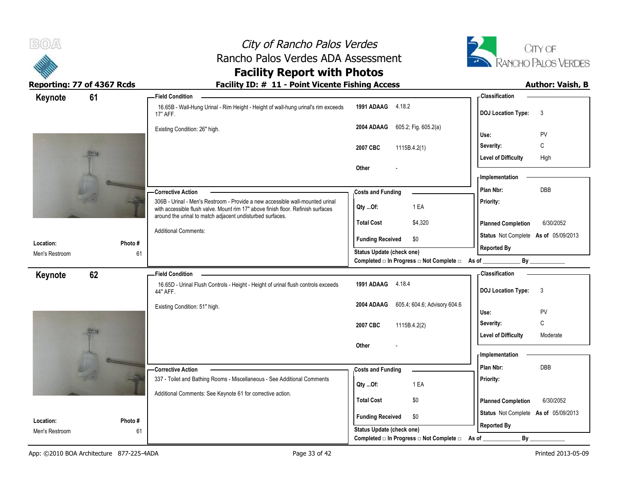



Reporting: 77 of 4367 Rcds **Facility ID: # 11 - Point Vicente Fishing Access** Author: Vaish, B

# **Facility Report with Photos**

| 61<br>Keynote               |              | -Field Condition                                                                                                                              |                                                  | - Classification                          |
|-----------------------------|--------------|-----------------------------------------------------------------------------------------------------------------------------------------------|--------------------------------------------------|-------------------------------------------|
|                             |              | 16.65B - Wall-Hung Urinal - Rim Height - Height of wall-hung urinal's rim exceeds<br>17" AFF.                                                 | 1991 ADAAG 4.18.2                                | <b>DOJ Location Type:</b><br>3            |
|                             |              | Existing Condition: 26" high.                                                                                                                 | 605.2; Fig. 605.2(a)<br>2004 ADAAG               | PV<br>Use:                                |
|                             |              |                                                                                                                                               |                                                  | С<br>Severity:                            |
|                             |              |                                                                                                                                               | 2007 CBC<br>1115B.4.2(1)                         | <b>Level of Difficulty</b><br>High        |
|                             |              |                                                                                                                                               | Other                                            |                                           |
|                             |              |                                                                                                                                               |                                                  | - Implementation                          |
|                             |              | -Corrective Action                                                                                                                            | <b>Costs and Funding</b>                         | DBB<br>Plan Nbr:                          |
|                             |              | 306B - Urinal - Men's Restroom - Provide a new accessible wall-mounted urinal                                                                 |                                                  | Priority:                                 |
|                             |              | with accessible flush valve. Mount rim 17" above finish floor. Refinish surfaces<br>around the urinal to match adjacent undisturbed surfaces. | 1 EA<br>Qty Of:                                  |                                           |
|                             |              |                                                                                                                                               | <b>Total Cost</b><br>\$4,320                     | 6/30/2052<br><b>Planned Completion</b>    |
|                             |              | <b>Additional Comments:</b>                                                                                                                   | <b>Funding Received</b><br>\$0                   | Status Not Complete As of 05/09/2013      |
| Location:<br>Men's Restroom | Photo#<br>61 |                                                                                                                                               | <b>Status Update (check one)</b>                 | <b>Reported By</b>                        |
|                             |              |                                                                                                                                               | Completed □ In Progress □ Not Complete □ As of _ | $By$ <sub>____</sub>                      |
| 62<br>Keynote               |              | <b>Field Condition</b>                                                                                                                        |                                                  | - Classification                          |
|                             |              | 16.65D - Urinal Flush Controls - Height - Height of urinal flush controls exceeds<br>44" AFF.                                                 | 1991 ADAAG 4.18.4                                | <b>DOJ Location Type:</b><br>$\mathbf{3}$ |
|                             |              | Existing Condition: 51" high.                                                                                                                 | 605.4; 604.6; Advisory 604.6<br>2004 ADAAG       |                                           |
|                             |              |                                                                                                                                               |                                                  | PV<br>Use:                                |
|                             |              |                                                                                                                                               | 2007 CBC<br>1115B.4.2(2)                         | C<br>Severity:                            |
|                             |              |                                                                                                                                               |                                                  | <b>Level of Difficulty</b><br>Moderate    |
|                             |              |                                                                                                                                               | Other                                            | - Implementation                          |
|                             |              |                                                                                                                                               |                                                  | Plan Nbr:<br>DBB                          |
|                             |              | -Corrective Action<br>337 - Toilet and Bathing Rooms - Miscellaneous - See Additional Comments                                                | <b>Costs and Funding</b>                         | Priority:                                 |
|                             |              |                                                                                                                                               | 1 EA<br>Qty Of:                                  |                                           |
|                             |              | Additional Comments: See Keynote 61 for corrective action.                                                                                    | <b>Total Cost</b><br>\$0                         | <b>Planned Completion</b><br>6/30/2052    |
|                             |              |                                                                                                                                               |                                                  | Status Not Complete As of 05/09/2013      |
| Location:                   | Photo#       |                                                                                                                                               | <b>Funding Received</b><br>\$0                   | <b>Reported By</b>                        |
| Men's Restroom              | 61           |                                                                                                                                               | Status Update (check one)                        |                                           |
|                             |              |                                                                                                                                               | Completed □ In Progress □ Not Complete □         | $By$ <sub>—</sub><br>As of _              |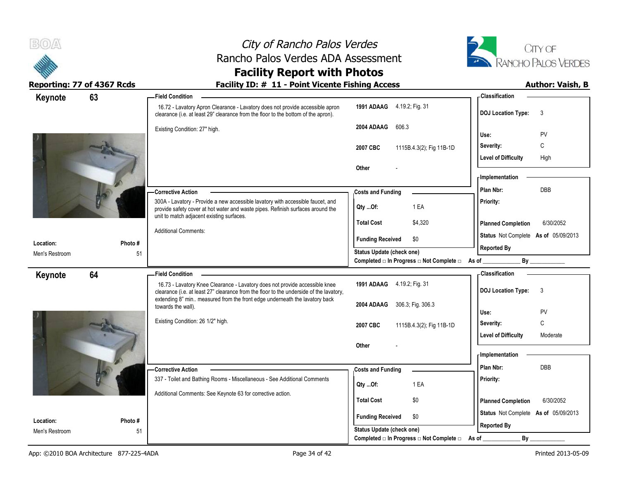



**Facility Report with Photos**

| Keynote                     | 63           | -Field Condition                                                                                                                                                                                                                                     |                                                                                                   | - Classification                       |
|-----------------------------|--------------|------------------------------------------------------------------------------------------------------------------------------------------------------------------------------------------------------------------------------------------------------|---------------------------------------------------------------------------------------------------|----------------------------------------|
|                             |              | 16.72 - Lavatory Apron Clearance - Lavatory does not provide accessible apron<br>clearance (i.e. at least 29" clearance from the floor to the bottom of the apron).                                                                                  | 1991 ADAAG 4.19.2; Fig. 31                                                                        | <b>DOJ Location Type:</b><br>3         |
|                             |              | Existing Condition: 27" high.                                                                                                                                                                                                                        | 606.3<br>2004 ADAAG                                                                               |                                        |
|                             |              |                                                                                                                                                                                                                                                      |                                                                                                   | Use:<br>PV<br>C<br>Severity:           |
|                             |              |                                                                                                                                                                                                                                                      | 1115B.4.3(2); Fig 11B-1D<br>2007 CBC                                                              | <b>Level of Difficulty</b><br>High     |
|                             |              |                                                                                                                                                                                                                                                      | Other                                                                                             |                                        |
|                             |              |                                                                                                                                                                                                                                                      |                                                                                                   | - Implementation                       |
|                             |              | - Corrective Action                                                                                                                                                                                                                                  | <b>Costs and Funding</b>                                                                          | <b>DBB</b><br>Plan Nbr:                |
|                             |              | 300A - Lavatory - Provide a new accessible lavatory with accessible faucet, and<br>provide safety cover at hot water and waste pipes. Refinish surfaces around the                                                                                   | 1 EA<br>Qty Of:                                                                                   | Priority:                              |
|                             |              | unit to match adjacent existing surfaces.                                                                                                                                                                                                            | <b>Total Cost</b><br>\$4,320                                                                      | <b>Planned Completion</b><br>6/30/2052 |
|                             |              | <b>Additional Comments:</b>                                                                                                                                                                                                                          | <b>Funding Received</b><br>\$0                                                                    | Status Not Complete As of 05/09/2013   |
| Location:<br>Men's Restroom | Photo#<br>51 |                                                                                                                                                                                                                                                      | Status Update (check one)                                                                         | <b>Reported By</b>                     |
|                             |              |                                                                                                                                                                                                                                                      | Completed □ In Progress □ Not Complete □ As of _                                                  | By                                     |
| Keynote                     | 64           | <b>Field Condition</b>                                                                                                                                                                                                                               |                                                                                                   | - Classification                       |
|                             |              | 16.73 - Lavatory Knee Clearance - Lavatory does not provide accessible knee<br>clearance (i.e. at least 27" clearance from the floor to the underside of the lavatory,<br>extending 8" min measured from the front edge underneath the lavatory back | 1991 ADAAG 4.19.2; Fig. 31                                                                        | 3<br><b>DOJ Location Type:</b>         |
|                             |              | towards the wall).                                                                                                                                                                                                                                   | 2004 ADAAG<br>306.3; Fig. 306.3                                                                   |                                        |
|                             |              | Existing Condition: 26 1/2" high.                                                                                                                                                                                                                    |                                                                                                   | Use:<br>PV<br>C<br>Severity:           |
|                             |              |                                                                                                                                                                                                                                                      | 2007 CBC<br>1115B.4.3(2); Fig 11B-1D                                                              | <b>Level of Difficulty</b><br>Moderate |
|                             |              |                                                                                                                                                                                                                                                      | Other                                                                                             |                                        |
|                             |              |                                                                                                                                                                                                                                                      |                                                                                                   | - Implementation                       |
|                             |              | -Corrective Action                                                                                                                                                                                                                                   | <b>Costs and Funding</b>                                                                          | Plan Nbr:<br>DBB                       |
|                             |              | 337 - Toilet and Bathing Rooms - Miscellaneous - See Additional Comments                                                                                                                                                                             | 1 EA<br>Qty Of:                                                                                   | Priority:                              |
|                             |              | Additional Comments: See Keynote 63 for corrective action.                                                                                                                                                                                           |                                                                                                   |                                        |
|                             |              |                                                                                                                                                                                                                                                      | <b>Total Cost</b><br>\$0                                                                          | <b>Planned Completion</b><br>6/30/2052 |
| Location:                   | Photo #      |                                                                                                                                                                                                                                                      | <b>Funding Received</b><br>\$0                                                                    | Status Not Complete As of 05/09/2013   |
|                             |              |                                                                                                                                                                                                                                                      |                                                                                                   |                                        |
| Men's Restroom              | 51           |                                                                                                                                                                                                                                                      | <b>Status Update (check one)</b><br>Completed $\Box$ In Progress $\Box$ Not Complete $\Box$ As of | <b>Reported By</b><br>By               |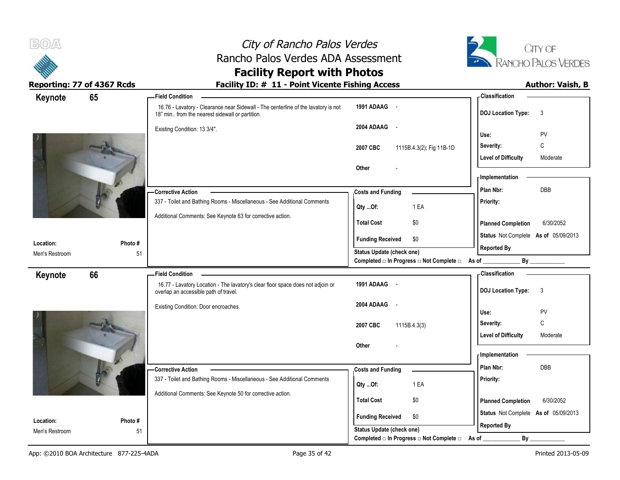



## **Facility Report with Photos**

| Keynote                     | 65            | - Field Condition                                                                                                                     |                                                                       | - Classification                       |
|-----------------------------|---------------|---------------------------------------------------------------------------------------------------------------------------------------|-----------------------------------------------------------------------|----------------------------------------|
|                             |               | 16.76 - Lavatory - Clearance near Sidewall - The centerline of the lavatory is not<br>18" min from the nearest sidewall or partition. | 1991 ADAAG -                                                          | <b>DOJ Location Type:</b><br>3         |
|                             |               | Existing Condition: 13 3/4".                                                                                                          | 2004 ADAAG -                                                          | PV<br>Use:                             |
|                             |               |                                                                                                                                       | 1115B.4.3(2); Fig 11B-1D<br>2007 CBC                                  | C<br>Severity:                         |
|                             |               |                                                                                                                                       |                                                                       | <b>Level of Difficulty</b><br>Moderate |
|                             |               |                                                                                                                                       | Other                                                                 |                                        |
|                             |               |                                                                                                                                       |                                                                       | - Implementation                       |
|                             |               | -Corrective Action                                                                                                                    | <b>Costs and Funding</b>                                              | DBB<br>Plan Nbr:                       |
|                             |               | 337 - Toilet and Bathing Rooms - Miscellaneous - See Additional Comments                                                              | 1 EA<br>Qty Of:                                                       | Priority:                              |
|                             |               | Additional Comments: See Keynote 63 for corrective action.                                                                            | <b>Total Cost</b><br>\$0                                              | <b>Planned Completion</b><br>6/30/2052 |
|                             |               |                                                                                                                                       | <b>Funding Received</b><br>\$0                                        | Status Not Complete As of 05/09/2013   |
| Location:<br>Men's Restroom | Photo#<br>51  |                                                                                                                                       | <b>Status Update (check one)</b>                                      | <b>Reported By</b>                     |
|                             |               |                                                                                                                                       | Completed □ In Progress □ Not Complete □ As of _                      | By                                     |
| Keynote                     | 66            | <b>Field Condition</b>                                                                                                                |                                                                       | - Classification                       |
|                             |               | 16.77 - Lavatory Location - The lavatory's clear floor space does not adjoin or<br>overlap an accessible path of travel.              | 1991 ADAAG -                                                          | 3<br><b>DOJ Location Type:</b>         |
|                             |               |                                                                                                                                       |                                                                       |                                        |
|                             |               | Existing Condition: Door encroaches.                                                                                                  | 2004 ADAAG -                                                          |                                        |
|                             |               |                                                                                                                                       |                                                                       | Use:<br>PV                             |
|                             |               |                                                                                                                                       | 2007 CBC<br>1115B.4.3(3)                                              | $\mathsf{C}$<br>Severity:              |
|                             |               |                                                                                                                                       |                                                                       | <b>Level of Difficulty</b><br>Moderate |
|                             |               |                                                                                                                                       | Other                                                                 | <b>Implementation</b>                  |
|                             |               | - Corrective Action                                                                                                                   |                                                                       | Plan Nbr:<br><b>DBB</b>                |
|                             |               | 337 - Toilet and Bathing Rooms - Miscellaneous - See Additional Comments                                                              | <b>Costs and Funding</b>                                              | Priority:                              |
|                             |               | Additional Comments: See Keynote 50 for corrective action.                                                                            | 1 EA<br>Qty Of:                                                       |                                        |
|                             |               |                                                                                                                                       | <b>Total Cost</b><br>\$0                                              | <b>Planned Completion</b><br>6/30/2052 |
|                             |               |                                                                                                                                       | <b>Funding Received</b><br>\$0                                        | Status Not Complete As of 05/09/2013   |
| Location:<br>Men's Restroom | Photo #<br>51 |                                                                                                                                       | Status Update (check one)<br>Completed □ In Progress □ Not Complete □ | <b>Reported By</b><br>By               |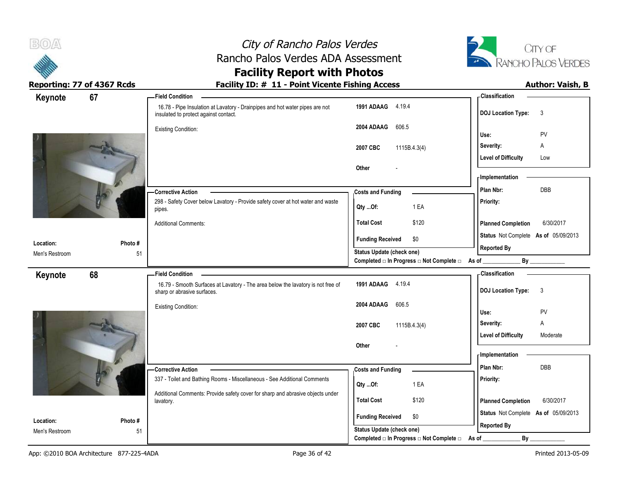



## **Facility Report with Photos**

| Keynote                     | 67           | <b>Field Condition</b>                                                                                                |                                                                       | - Classification                          |
|-----------------------------|--------------|-----------------------------------------------------------------------------------------------------------------------|-----------------------------------------------------------------------|-------------------------------------------|
|                             |              | 16.78 - Pipe Insulation at Lavatory - Drainpipes and hot water pipes are not<br>insulated to protect against contact. | 1991 ADAAG 4.19.4                                                     | <b>DOJ Location Type:</b><br>$\mathbf{3}$ |
|                             |              | <b>Existing Condition:</b>                                                                                            | 2004 ADAAG<br>606.5                                                   | PV<br>Use:                                |
|                             |              |                                                                                                                       |                                                                       | Severity:<br>Α                            |
|                             |              |                                                                                                                       | 2007 CBC<br>1115B.4.3(4)                                              | <b>Level of Difficulty</b><br>Low         |
|                             |              |                                                                                                                       | Other                                                                 |                                           |
|                             |              |                                                                                                                       |                                                                       | - Implementation                          |
|                             |              | - Corrective Action                                                                                                   | <b>Costs and Funding</b>                                              | DBB<br>Plan Nbr:                          |
|                             |              | 298 - Safety Cover below Lavatory - Provide safety cover at hot water and waste<br>pipes.                             | 1 EA<br>Qty Of:                                                       | Priority:                                 |
|                             |              | <b>Additional Comments:</b>                                                                                           | \$120<br><b>Total Cost</b>                                            | <b>Planned Completion</b><br>6/30/2017    |
|                             |              |                                                                                                                       | \$0<br><b>Funding Received</b>                                        | Status Not Complete As of 05/09/2013      |
| Location:<br>Men's Restroom | Photo#<br>51 |                                                                                                                       | Status Update (check one)                                             | <b>Reported By</b>                        |
|                             |              |                                                                                                                       | Completed □ In Progress □ Not Complete □ As of _________              | By                                        |
| Keynote                     | 68           | <b>Field Condition</b>                                                                                                |                                                                       | - Classification                          |
|                             |              | 16.79 - Smooth Surfaces at Lavatory - The area below the lavatory is not free of<br>sharp or abrasive surfaces.       | 1991 ADAAG 4.19.4                                                     | <b>DOJ Location Type:</b><br>3            |
|                             |              | <b>Existing Condition:</b>                                                                                            | 606.5<br>2004 ADAAG                                                   | PV<br>Use:                                |
|                             |              |                                                                                                                       |                                                                       | Severity:<br>A                            |
|                             |              |                                                                                                                       | 2007 CBC<br>1115B.4.3(4)                                              |                                           |
|                             |              |                                                                                                                       |                                                                       |                                           |
|                             |              |                                                                                                                       | Other                                                                 | <b>Level of Difficulty</b><br>Moderate    |
|                             |              |                                                                                                                       |                                                                       | - Implementation                          |
|                             |              | -Corrective Action                                                                                                    | <b>Costs and Funding</b>                                              | Plan Nbr:<br>DBB                          |
|                             |              | 337 - Toilet and Bathing Rooms - Miscellaneous - See Additional Comments                                              |                                                                       | Priority:                                 |
|                             |              | Additional Comments: Provide safety cover for sharp and abrasive objects under                                        | 1 EA<br>Qty Of:                                                       |                                           |
|                             |              | lavatory.                                                                                                             | <b>Total Cost</b><br>\$120                                            | <b>Planned Completion</b><br>6/30/2017    |
| Location:                   | Photo#       |                                                                                                                       | <b>Funding Received</b><br>\$0                                        | Status Not Complete As of 05/09/2013      |
| Men's Restroom              | 51           |                                                                                                                       | Status Update (check one)<br>Completed □ In Progress □ Not Complete □ | <b>Reported By</b><br>By<br>As of         |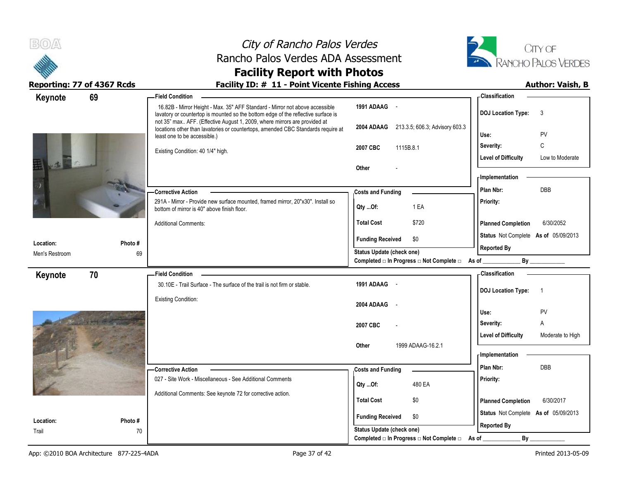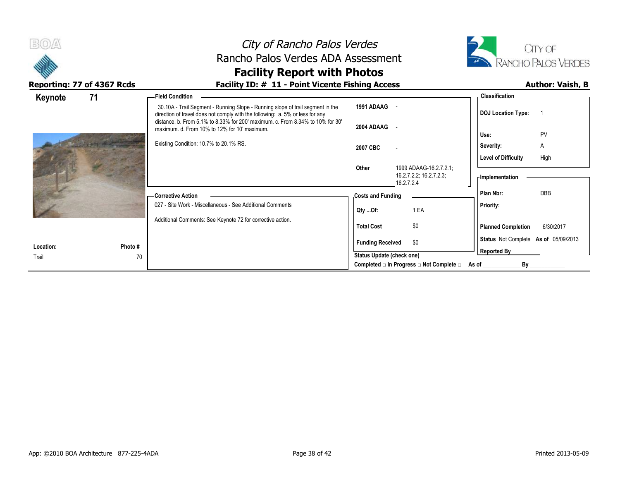

## **Facility Report with Photos**

| 71<br>Keynote |         | -Field Condition                                                                                                                                                |                                  |                                          | - Classification                                                                                                     |            |  |
|---------------|---------|-----------------------------------------------------------------------------------------------------------------------------------------------------------------|----------------------------------|------------------------------------------|----------------------------------------------------------------------------------------------------------------------|------------|--|
|               |         | 30.10A - Trail Segment - Running Slope - Running slope of trail segment in the<br>direction of travel does not comply with the following: a. 5% or less for any | 1991 ADAAG                       | $\sim$                                   | <b>DOJ</b> Location Type:                                                                                            |            |  |
|               |         | distance, b. From 5.1% to 8.33% for 200' maximum, c. From 8.34% to 10% for 30'<br>maximum. d. From 10% to 12% for 10' maximum.                                  | 2004 ADAAG -                     |                                          | Use:                                                                                                                 | PV         |  |
|               |         | Existing Condition: 10.7% to 20.1% RS.                                                                                                                          | 2007 CBC                         |                                          | Severity:                                                                                                            | Α          |  |
|               |         |                                                                                                                                                                 | Other                            | 1999 ADAAG-16.2.7.2.1                    | <b>Level of Difficulty</b>                                                                                           | High       |  |
|               |         |                                                                                                                                                                 |                                  | 16.2.7.2.2; 16.2.7.2.3;<br>16.2.7.2.4    | - Implementation                                                                                                     |            |  |
|               |         | — Corrective Action<br>027 - Site Work - Miscellaneous - See Additional Comments                                                                                | <b>Costs and Funding</b>         |                                          | Plan Nbr:                                                                                                            | <b>DBB</b> |  |
|               |         |                                                                                                                                                                 | Qty Of:                          | 1 EA                                     | Priority:                                                                                                            |            |  |
|               |         | Additional Comments: See Keynote 72 for corrective action.                                                                                                      | <b>Total Cost</b>                | \$0                                      | <b>Planned Completion</b>                                                                                            | 6/30/2017  |  |
| Location:     | Photo # |                                                                                                                                                                 | <b>Funding Received</b>          | \$0                                      | Status Not Complete As of 05/09/2013                                                                                 |            |  |
| Trail         | 70      |                                                                                                                                                                 | <b>Status Update (check one)</b> |                                          | <b>Reported By</b>                                                                                                   |            |  |
|               |         |                                                                                                                                                                 |                                  | Completed □ In Progress □ Not Complete □ | As of the control of the control of the control of the control of the control of the control of the control of<br>Bv |            |  |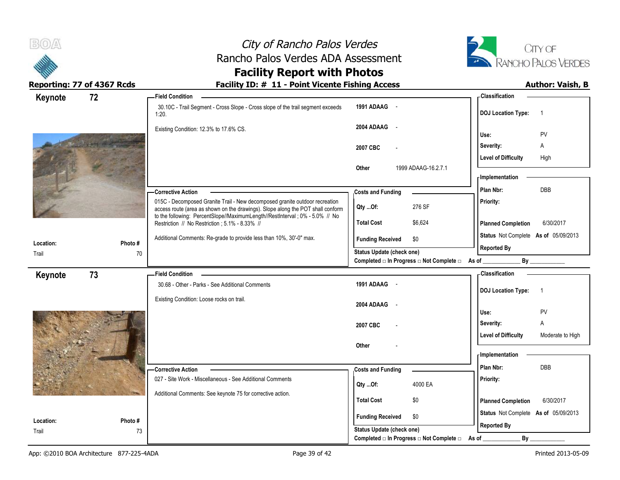



### **Facility Report with Photos**

| Keynote   | 72      | <b>Field Condition</b>                                                                                                                                         |                                                                       | <b>Classification</b>                          |
|-----------|---------|----------------------------------------------------------------------------------------------------------------------------------------------------------------|-----------------------------------------------------------------------|------------------------------------------------|
|           |         | 30.10C - Trail Segment - Cross Slope - Cross slope of the trail segment exceeds<br>1:20.                                                                       | 1991 ADAAG -                                                          | <b>DOJ</b> Location Type:<br>$\overline{1}$    |
|           |         | Existing Condition: 12.3% to 17.6% CS.                                                                                                                         | 2004 ADAAG -                                                          | PV<br>Use:                                     |
|           |         |                                                                                                                                                                | 2007 CBC                                                              | A<br>Severity:                                 |
|           |         |                                                                                                                                                                |                                                                       | <b>Level of Difficulty</b><br>High             |
|           |         |                                                                                                                                                                | Other<br>1999 ADAAG-16.2.7.1                                          | - Implementation                               |
|           |         | Corrective Action                                                                                                                                              | <b>Costs and Funding</b>                                              | <b>DBB</b><br>Plan Nbr:                        |
|           |         | 015C - Decomposed Granite Trail - New decomposed granite outdoor recreation<br>access route (area as shown on the drawings). Slope along the POT shall conform | 276 SF<br>Qty Of:                                                     | Priority:                                      |
|           |         | to the following: PercentSlope//MaximumLength//RestInterval ; 0% - 5.0% // No<br>Restriction // No Restriction ; 5.1% - 8.33% //                               | <b>Total Cost</b><br>\$6,624                                          | 6/30/2017<br><b>Planned Completion</b>         |
| Location: | Photo#  | Additional Comments: Re-grade to provide less than 10%, 30'-0" max.                                                                                            | \$0<br><b>Funding Received</b>                                        | Status Not Complete As of 05/09/2013           |
| Trail     | 70      |                                                                                                                                                                | <b>Status Update (check one)</b>                                      | <b>Reported By</b>                             |
|           |         |                                                                                                                                                                | Completed □ In Progress □ Not Complete □ As of _                      | By                                             |
| Keynote   | 73      | - Field Condition                                                                                                                                              |                                                                       | <b>Classification</b>                          |
|           |         | 30.68 - Other - Parks - See Additional Comments                                                                                                                | 1991 ADAAG -                                                          | <b>DOJ</b> Location Type:<br>$\overline{1}$    |
|           |         | Existing Condition: Loose rocks on trail.                                                                                                                      | 2004 ADAAG -                                                          |                                                |
|           |         |                                                                                                                                                                |                                                                       | PV<br>Use:                                     |
|           |         |                                                                                                                                                                | 2007 CBC                                                              | A<br>Severity:                                 |
|           |         |                                                                                                                                                                |                                                                       | <b>Level of Difficulty</b><br>Moderate to High |
|           |         |                                                                                                                                                                | Other                                                                 | Implementation                                 |
|           |         |                                                                                                                                                                |                                                                       |                                                |
|           |         | -Corrective Action                                                                                                                                             | <b>Costs and Funding</b>                                              | Plan Nbr:<br>DBB                               |
|           |         | 027 - Site Work - Miscellaneous - See Additional Comments                                                                                                      | 4000 EA<br>Qty Of:                                                    | Priority:                                      |
|           |         | Additional Comments: See keynote 75 for corrective action.                                                                                                     | <b>Total Cost</b><br>\$0                                              | <b>Planned Completion</b><br>6/30/2017         |
|           |         |                                                                                                                                                                | <b>Funding Received</b><br>\$0                                        | Status Not Complete As of 05/09/2013           |
| Location: |         |                                                                                                                                                                |                                                                       |                                                |
|           | Photo # |                                                                                                                                                                |                                                                       |                                                |
| Trail     | 73      |                                                                                                                                                                | Status Update (check one)<br>Completed □ In Progress □ Not Complete □ | <b>Reported By</b><br>By<br>As of              |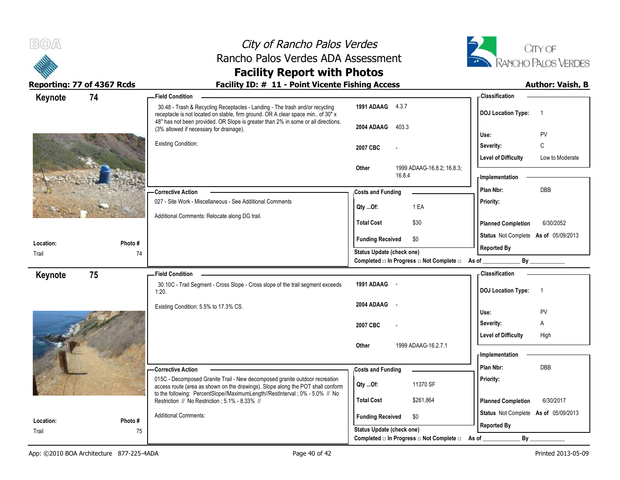|           |                            | City of Rancho Palos Verdes<br>Rancho Palos Verdes ADA Assessment<br><b>Facility Report with Photos</b>                                                                                                                                                                                         |                                      |                                                                        |                                      | CITY OF<br>RANCHO PALOS VERDES |
|-----------|----------------------------|-------------------------------------------------------------------------------------------------------------------------------------------------------------------------------------------------------------------------------------------------------------------------------------------------|--------------------------------------|------------------------------------------------------------------------|--------------------------------------|--------------------------------|
|           | Reporting: 77 of 4367 Rcds | Facility ID: # 11 - Point Vicente Fishing Access                                                                                                                                                                                                                                                |                                      |                                                                        |                                      | <b>Author: Vaish, B</b>        |
| Keynote   | 74                         | <b>Field Condition</b>                                                                                                                                                                                                                                                                          |                                      |                                                                        | <b>Classification</b>                |                                |
|           |                            | 30.48 - Trash & Recycling Receptacles - Landing - The trash and/or recycling<br>receptacle is not located on stable, firm ground. OR A clear space min of 30" x<br>48" has not been provided. OR Slope is greater than 2% in some or all directions.<br>(3% allowed if necessary for drainage). | 1991 ADAAG 4.3.7<br>2004 ADAAG 403.3 |                                                                        | <b>DOJ Location Type:</b>            | $\overline{\phantom{0}}$       |
|           |                            |                                                                                                                                                                                                                                                                                                 |                                      |                                                                        | Use:                                 | PV                             |
|           |                            | <b>Existing Condition:</b>                                                                                                                                                                                                                                                                      | 2007 CBC                             |                                                                        | Severity:                            | $\mathsf{C}$                   |
|           |                            |                                                                                                                                                                                                                                                                                                 | <b>Other</b>                         | 1999 ADAAG-16.8.2; 16.8.3;                                             | <b>Level of Difficulty</b>           | Low to Moderate                |
|           |                            |                                                                                                                                                                                                                                                                                                 |                                      | 16.8.4                                                                 | <b>Implementation</b>                |                                |
|           |                            | <b>Corrective Action</b>                                                                                                                                                                                                                                                                        | <b>Costs and Funding</b>             |                                                                        | Plan Nbr:                            | DBB                            |
|           |                            | 027 - Site Work - Miscellaneous - See Additional Comments<br>Additional Comments: Relocate along DG trail.                                                                                                                                                                                      | $Qty$ Of:                            | 1 EA                                                                   | Priority:                            |                                |
|           |                            |                                                                                                                                                                                                                                                                                                 | <b>Total Cost</b>                    | \$30                                                                   | <b>Planned Completion</b>            | 6/30/2052                      |
| Location: | Photo #                    |                                                                                                                                                                                                                                                                                                 | <b>Funding Received</b>              | \$0                                                                    | Status Not Complete As of 05/09/2013 |                                |
| Trail     | 74                         |                                                                                                                                                                                                                                                                                                 | Status Update (check one)            |                                                                        | <b>Reported By</b>                   |                                |
|           |                            |                                                                                                                                                                                                                                                                                                 |                                      | Completed $\square$ In Progress $\square$ Not Complete $\square$ As of | $By_$                                |                                |
| Keynote   | 75                         | <b>Field Condition</b>                                                                                                                                                                                                                                                                          |                                      |                                                                        | <b>Classification</b>                |                                |
|           |                            | 30.10C - Trail Segment - Cross Slope - Cross slope of the trail segment exceeds<br>1:20.                                                                                                                                                                                                        | 1991 ADAAG -                         |                                                                        | DOJ Location Type: 1                 |                                |
|           |                            | Existing Condition: 5.5% to 17.3% CS.                                                                                                                                                                                                                                                           | 2004 ADAAG -                         |                                                                        | Use:                                 | PV                             |
|           |                            |                                                                                                                                                                                                                                                                                                 | 2007 CBC                             |                                                                        | Severity:                            | A                              |
|           |                            |                                                                                                                                                                                                                                                                                                 |                                      |                                                                        | <b>Level of Difficulty</b>           | High                           |
|           |                            |                                                                                                                                                                                                                                                                                                 | Other                                | 1999 ADAAG-16.2.7.1                                                    | <b>Implementation</b>                |                                |
|           |                            | <b>Corrective Action</b>                                                                                                                                                                                                                                                                        | <b>Costs and Funding</b>             |                                                                        | Plan Nbr:                            | <b>DBB</b>                     |
|           |                            | 015C - Decomposed Granite Trail - New decomposed granite outdoor recreation<br>access route (area as shown on the drawings). Slope along the POT shall conform                                                                                                                                  | $Qty$ Of:                            | 11370 SF                                                               | Priority:                            |                                |
|           |                            | to the following: PercentSlope//MaximumLength//RestInterval ; 0% - 5.0% // No<br>Restriction // No Restriction : 5.1% - 8.33% //                                                                                                                                                                | <b>Total Cost</b>                    | \$261,864                                                              | <b>Planned Completion</b>            | 6/30/2017                      |
| Location: | Photo #                    | <b>Additional Comments:</b>                                                                                                                                                                                                                                                                     | <b>Funding Received</b>              | \$0                                                                    | Status Not Complete As of 05/09/2013 |                                |
| Trail     | 75                         |                                                                                                                                                                                                                                                                                                 | Status Update (check one)            | Completed □ In Progress □ Not Complete □ As of                         | <b>Reported By</b><br>By             |                                |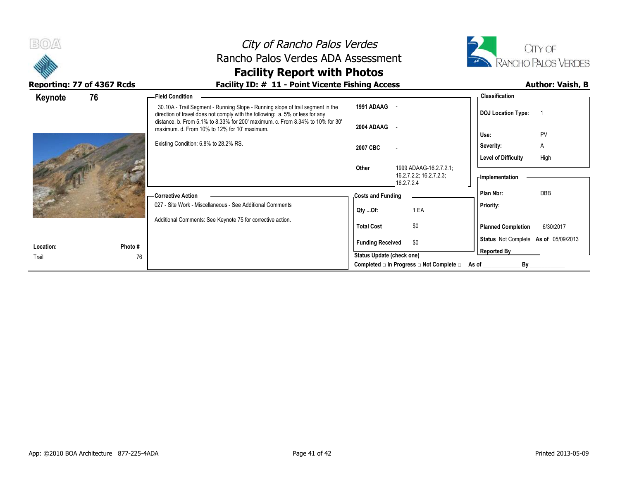| B(0)<br>Reporting: 77 of 4367 Rcds | City of Rancho Palos Verdes<br>Rancho Palos Verdes ADA Assessment<br><b>Facility Report with Photos</b><br>Facility ID: # 11 - Point Vicente Fishing Access                                                                                                                                                                                                          |                                                                                       |                                                  |                                                                                                                           | CITY OF<br>RANCHO PALOS VERDES<br><b>Author: Vaish, B</b> |
|------------------------------------|----------------------------------------------------------------------------------------------------------------------------------------------------------------------------------------------------------------------------------------------------------------------------------------------------------------------------------------------------------------------|---------------------------------------------------------------------------------------|--------------------------------------------------|---------------------------------------------------------------------------------------------------------------------------|-----------------------------------------------------------|
| 76<br>Keynote                      | <b>Field Condition</b><br>30.10A - Trail Segment - Running Slope - Running slope of trail segment in the<br>direction of travel does not comply with the following: a. 5% or less for any<br>distance. b. From 5.1% to 8.33% for 200' maximum. c. From 8.34% to 10% for 30'<br>maximum. d. From 10% to 12% for 10' maximum.<br>Existing Condition: 6.8% to 28.2% RS. | 1991 ADAAG -<br>2004 ADAAG -<br>2007 CBC<br>Other                                     | 1999 ADAAG-16.2.7.2.1<br>16.2.7.2.2; 16.2.7.2.3; | <b>Classification</b><br><b>DOJ</b> Location Type:<br>Use:<br>Severity:<br><b>Level of Difficulty</b><br>- Implementation | PV<br>A<br>High                                           |
| Photo #<br>Location:               | -Corrective Action<br>027 - Site Work - Miscellaneous - See Additional Comments<br>Additional Comments: See Keynote 75 for corrective action.                                                                                                                                                                                                                        | <b>Costs and Funding</b><br>$Qty$ Of:<br><b>Total Cost</b><br><b>Funding Received</b> | 16.2.7.2.4<br>1 EA<br>\$0<br>\$0                 | Plan Nbr:<br><b>Priority:</b><br><b>Planned Completion</b><br>Status Not Complete As of 05/09/2013<br><b>Reported By</b>  | <b>DBB</b><br>6/30/2017                                   |
| Trail<br>76                        |                                                                                                                                                                                                                                                                                                                                                                      | Status Update (check one)                                                             | Completed □ In Progress □ Not Complete □         | By<br>As of                                                                                                               |                                                           |